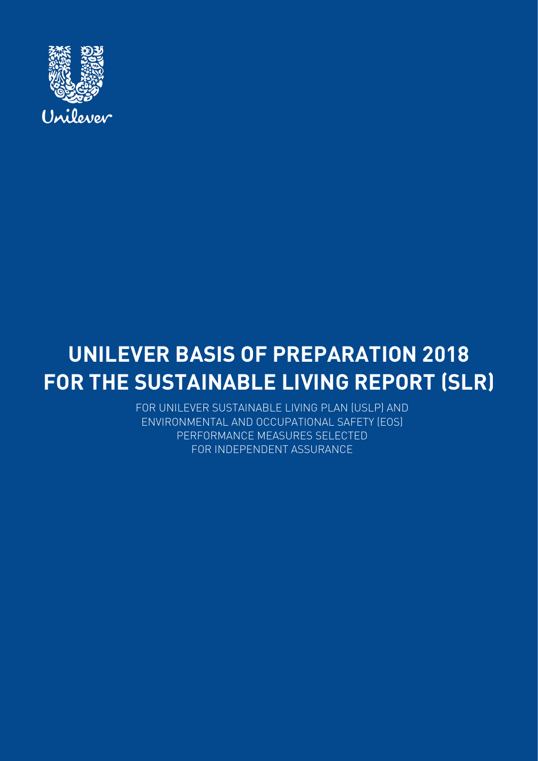

# **UNILEVER BASIS OF PREPARATION 2018 FOR THE SUSTAINABLE LIVING REPORT (SLR)**

FOR UNILEVER SUSTAINABLE LIVING PLAN (USLP) AND ENVIRONMENTAL AND OCCUPATIONAL SAFETY (EOS) PERFORMANCE MEASURES SELECTED FOR INDEPENDENT ASSURANCE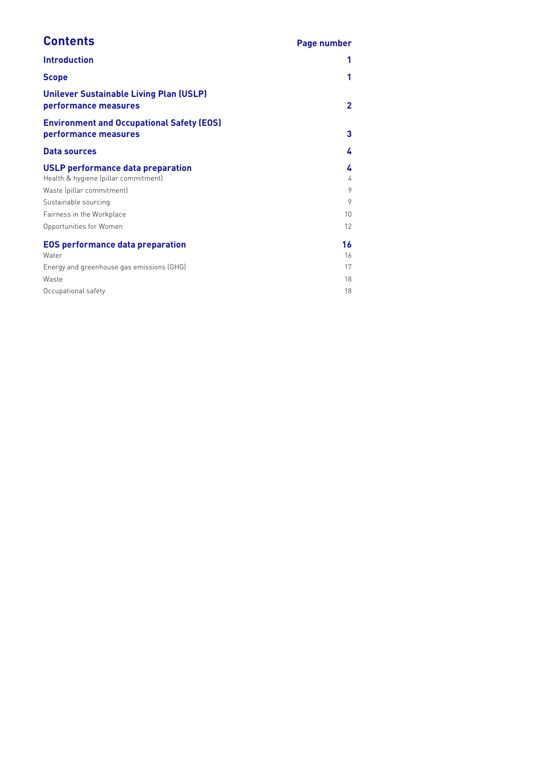## **Contents Page number**

| <b>Introduction</b>                                                          |                         |
|------------------------------------------------------------------------------|-------------------------|
| <b>Scope</b>                                                                 |                         |
| <b>Unilever Sustainable Living Plan (USLP)</b><br>performance measures       | $\overline{\mathbf{c}}$ |
| <b>Environment and Occupational Safety (EOS)</b><br>performance measures     | 3                       |
| Data sources                                                                 | 4                       |
| USLP performance data preparation<br>Health & hygiene (pillar commitment)    | 4<br>4                  |
| Waste (pillar commitment)                                                    | 9<br>9                  |
| Sustainable sourcing<br>Fairness in the Workplace<br>Opportunities for Women | 10<br>12                |
| <b>EOS performance data preparation</b><br>Water                             | 16<br>16                |
| Energy and greenhouse gas emissions (GHG)                                    | 17                      |
| Waste                                                                        | 18                      |
| Occupational safety                                                          | 18                      |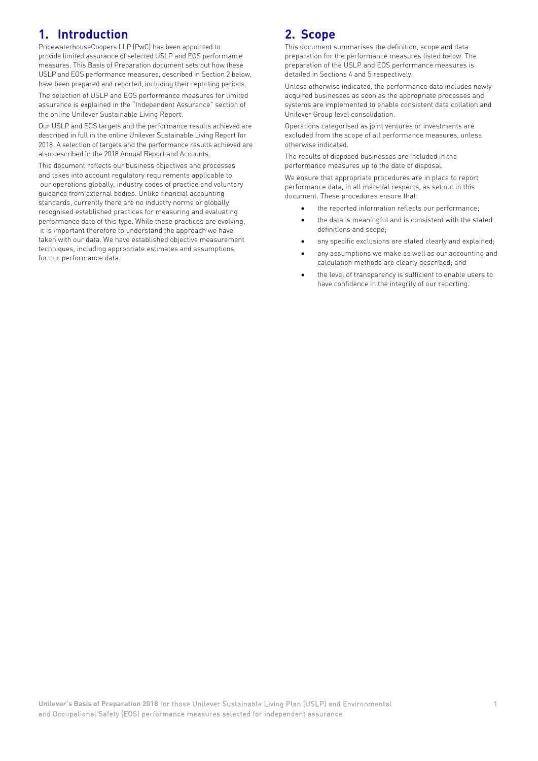### **1. Introduction**

PricewaterhouseCoopers LLP (PwC) has been appointed to provide limited assurance of selected USLP and EOS performance measures. This Basis of Preparation document sets out how these USLP and EOS performance measures, described in Section 2 below, have been prepared and reported, including their reporting periods.

The selection of USLP and EOS performance measures for limited assurance is explained in the "Independent Assurance" section of the online Unilever Sustainable Living Report.

Our USLP and EOS targets and the performance results achieved are described in full in the online Unilever Sustainable Living Report for 2018. A selection of targets and the performance results achieved are also described in the 2018 Annual Report and Accounts.

This document reflects our business objectives and processes and takes into account regulatory requirements applicable to our operations globally, industry codes of practice and voluntary guidance from external bodies. Unlike financial accounting standards, currently there are no industry norms or globally recognised established practices for measuring and evaluating performance data of this type. While these practices are evolving, it is important therefore to understand the approach we have taken with our data. We have established objective measurement techniques, including appropriate estimates and assumptions, for our performance data.

### **2. Scope**

This document summarises the definition, scope and data preparation for the performance measures listed below. The preparation of the USLP and EOS performance measures is detailed in Sections 4 and 5 respectively.

Unless otherwise indicated, the performance data includes newly acquired businesses as soon as the appropriate processes and systems are implemented to enable consistent data collation and Unilever Group level consolidation.

Operations categorised as joint ventures or investments are excluded from the scope of all performance measures, unless otherwise indicated.

The results of disposed businesses are included in the performance measures up to the date of disposal.

We ensure that appropriate procedures are in place to report performance data, in all material respects, as set out in this document. These procedures ensure that:

- the reported information reflects our performance;
- the data is meaningful and is consistent with the stated definitions and scope;
- any specific exclusions are stated clearly and explained;
- any assumptions we make as well as our accounting and calculation methods are clearly described; and
- the level of transparency is sufficient to enable users to have confidence in the integrity of our reporting.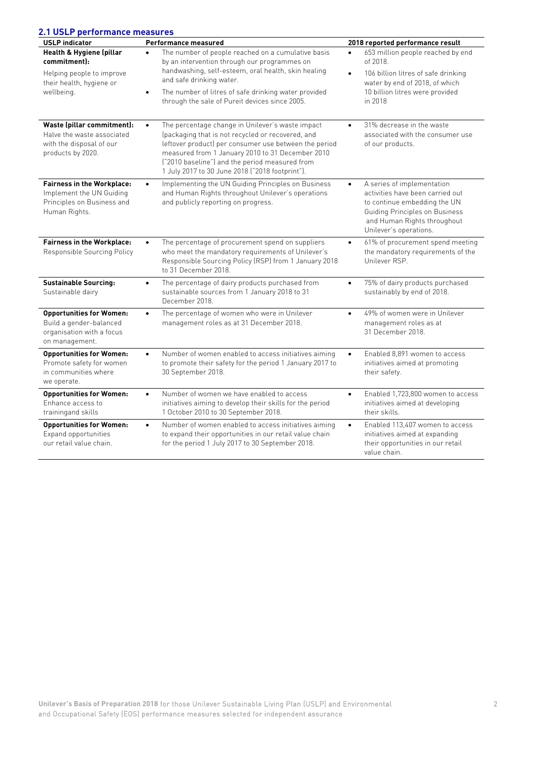| <b>USLP</b> indicator                                                                                        | Performance measured                                                                                                                                                                                                                                                                                                                 | 2018 reported performance result                                                                                                                                                                       |
|--------------------------------------------------------------------------------------------------------------|--------------------------------------------------------------------------------------------------------------------------------------------------------------------------------------------------------------------------------------------------------------------------------------------------------------------------------------|--------------------------------------------------------------------------------------------------------------------------------------------------------------------------------------------------------|
| Health & Hygiene (pillar<br>commitment):                                                                     | The number of people reached on a cumulative basis<br>$\bullet$<br>by an intervention through our programmes on                                                                                                                                                                                                                      | 653 million people reached by end<br>$\bullet$<br>of 2018.                                                                                                                                             |
| Helping people to improve<br>their health, hygiene or<br>wellbeing.                                          | handwashing, self-esteem, oral health, skin healing<br>and safe drinking water.                                                                                                                                                                                                                                                      | 106 billion litres of safe drinking<br>$\bullet$<br>water by end of 2018, of which                                                                                                                     |
|                                                                                                              | The number of litres of safe drinking water provided<br>$\bullet$<br>through the sale of Pureit devices since 2005.                                                                                                                                                                                                                  | 10 billion litres were provided<br>in 2018                                                                                                                                                             |
| Waste (pillar commitment):<br>Halve the waste associated<br>with the disposal of our<br>products by 2020.    | The percentage change in Unilever's waste impact<br>$\bullet$<br>(packaging that is not recycled or recovered, and<br>leftover product) per consumer use between the period<br>measured from 1 January 2010 to 31 December 2010<br>("2010 baseline") and the period measured from<br>1 July 2017 to 30 June 2018 ("2018 footprint"). | 31% decrease in the waste<br>$\bullet$<br>associated with the consumer use<br>of our products.                                                                                                         |
| <b>Fairness in the Workplace:</b><br>Implement the UN Guiding<br>Principles on Business and<br>Human Rights. | Implementing the UN Guiding Principles on Business<br>$\bullet$<br>and Human Rights throughout Unilever's operations<br>and publicly reporting on progress.                                                                                                                                                                          | A series of implementation<br>$\bullet$<br>activities have been carried out<br>to continue embedding the UN<br>Guiding Principles on Business<br>and Human Rights throughout<br>Unilever's operations. |
| <b>Fairness in the Workplace:</b><br>Responsible Sourcing Policy                                             | The percentage of procurement spend on suppliers<br>$\bullet$<br>who meet the mandatory requirements of Unilever's<br>Responsible Sourcing Policy (RSP) from 1 January 2018<br>to 31 December 2018.                                                                                                                                  | 61% of procurement spend meeting<br>$\bullet$<br>the mandatory requirements of the<br>Unilever RSP.                                                                                                    |
| <b>Sustainable Sourcing:</b><br>Sustainable dairy                                                            | The percentage of dairy products purchased from<br>$\bullet$<br>sustainable sources from 1 January 2018 to 31<br>December 2018.                                                                                                                                                                                                      | 75% of dairy products purchased<br>$\bullet$<br>sustainably by end of 2018.                                                                                                                            |
| <b>Opportunities for Women:</b><br>Build a gender-balanced<br>organisation with a focus<br>on management.    | The percentage of women who were in Unilever<br>$\bullet$<br>management roles as at 31 December 2018.                                                                                                                                                                                                                                | 49% of women were in Unilever<br>$\bullet$<br>management roles as at<br>31 December 2018.                                                                                                              |
| <b>Opportunities for Women:</b><br>Promote safety for women<br>in communities where<br>we operate.           | Number of women enabled to access initiatives aiming<br>$\bullet$<br>to promote their safety for the period 1 January 2017 to<br>30 September 2018.                                                                                                                                                                                  | Enabled 8,891 women to access<br>$\bullet$<br>initiatives aimed at promoting<br>their safety.                                                                                                          |
| <b>Opportunities for Women:</b><br>Enhance access to<br>trainingand skills                                   | Number of women we have enabled to access<br>$\bullet$<br>initiatives aiming to develop their skills for the period<br>1 October 2010 to 30 September 2018.                                                                                                                                                                          | Enabled 1,723,800 women to access<br>$\bullet$<br>initiatives aimed at developing<br>their skills.                                                                                                     |
| <b>Opportunities for Women:</b><br>Expand opportunities<br>our retail value chain.                           | Number of women enabled to access initiatives aiming<br>$\bullet$<br>to expand their opportunities in our retail value chain<br>for the period 1 July 2017 to 30 September 2018.                                                                                                                                                     | Enabled 113,407 women to access<br>$\bullet$<br>initiatives aimed at expanding<br>their opportunities in our retail<br>value chain.                                                                    |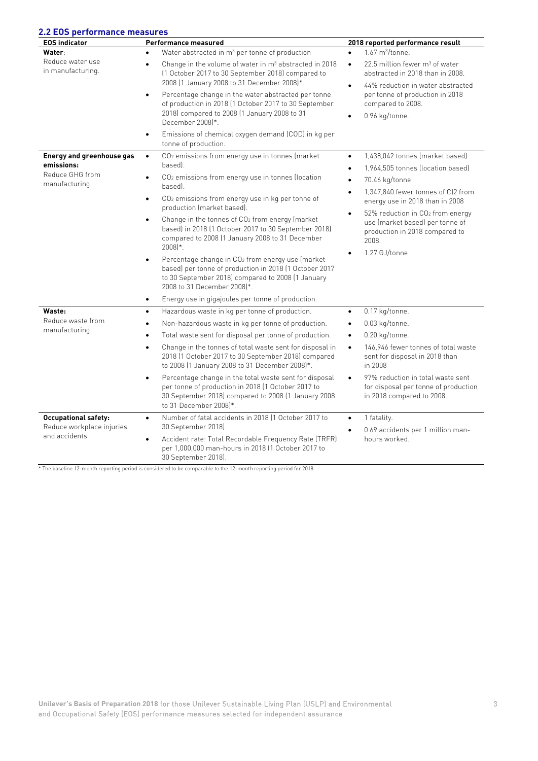### **2.2 EOS performance measures**

| <u>----- porton</u><br><b>EOS indicator</b>                                         | Performance measured                                                                                                                                                                                                    | 2018 reported performance result                                                                                                                |
|-------------------------------------------------------------------------------------|-------------------------------------------------------------------------------------------------------------------------------------------------------------------------------------------------------------------------|-------------------------------------------------------------------------------------------------------------------------------------------------|
| <b>Water:</b><br>Reduce water use<br>in manufacturing.                              | Water abstracted in m <sup>3</sup> per tonne of production                                                                                                                                                              | $1.67 \text{ m}^3$ /tonne.<br>$\bullet$                                                                                                         |
|                                                                                     | Change in the volume of water in $m3$ abstracted in 2018<br>$\bullet$<br>[1 October 2017 to 30 September 2018] compared to<br>2008 (1 January 2008 to 31 December 2008)*.                                               | $22.5$ million fewer m <sup>3</sup> of water<br>$\bullet$<br>abstracted in 2018 than in 2008.<br>44% reduction in water abstracted<br>$\bullet$ |
|                                                                                     | Percentage change in the water abstracted per tonne<br>$\bullet$<br>of production in 2018 (1 October 2017 to 30 September<br>2018) compared to 2008 (1 January 2008 to 31<br>December 2008)*.                           | per tonne of production in 2018<br>compared to 2008.<br>0.96 kg/tonne.<br>$\bullet$                                                             |
|                                                                                     | Emissions of chemical oxygen demand (COD) in kg per<br>$\bullet$<br>tonne of production.                                                                                                                                |                                                                                                                                                 |
| <b>Energy and greenhouse gas</b><br>emissions:<br>Reduce GHG from<br>manufacturing. | CO <sub>2</sub> emissions from energy use in tonnes (market<br>$\bullet$<br>based).                                                                                                                                     | 1,438,042 tonnes (market based)<br>$\bullet$<br>1,964,505 tonnes (location based)<br>$\bullet$                                                  |
|                                                                                     | CO <sub>2</sub> emissions from energy use in tonnes (location<br>$\bullet$<br>based).                                                                                                                                   | 70.46 kg/tonne<br>$\bullet$<br>1,347,840 fewer tonnes of C)2 from                                                                               |
|                                                                                     | CO <sub>2</sub> emissions from energy use in kg per tonne of<br>$\bullet$<br>production (market based).                                                                                                                 | $\bullet$<br>energy use in 2018 than in 2008                                                                                                    |
|                                                                                     | Change in the tonnes of CO2 from energy (market<br>$\bullet$<br>based) in 2018 (1 October 2017 to 30 September 2018)<br>compared to 2008 (1 January 2008 to 31 December<br>$2008$ <sup>*</sup> .                        | 52% reduction in CO <sub>2</sub> from energy<br>$\bullet$<br>use (market based) per tonne of<br>production in 2018 compared to<br>2008.         |
|                                                                                     | Percentage change in CO <sub>2</sub> from energy use (market<br>$\bullet$<br>based) per tonne of production in 2018 (1 October 2017<br>to 30 September 2018) compared to 2008 (1 January<br>2008 to 31 December 2008)*. | 1.27 GJ/tonne<br>$\bullet$                                                                                                                      |
|                                                                                     | Energy use in gigajoules per tonne of production.<br>$\bullet$                                                                                                                                                          |                                                                                                                                                 |
| Waste:<br>Reduce waste from<br>manufacturing.                                       | Hazardous waste in kg per tonne of production.<br>$\bullet$                                                                                                                                                             | 0.17 kg/tonne.<br>$\bullet$                                                                                                                     |
|                                                                                     | Non-hazardous waste in kg per tonne of production.<br>$\bullet$                                                                                                                                                         | 0.03 kg/tonne.<br>$\bullet$                                                                                                                     |
|                                                                                     | Total waste sent for disposal per tonne of production.<br>$\bullet$                                                                                                                                                     | 0.20 kg/tonne.<br>$\bullet$                                                                                                                     |
|                                                                                     | Change in the tonnes of total waste sent for disposal in<br>$\bullet$<br>2018 (1 October 2017 to 30 September 2018) compared<br>to 2008 (1 January 2008 to 31 December 2008)*.                                          | 146,946 fewer tonnes of total waste<br>$\bullet$<br>sent for disposal in 2018 than<br>in 2008                                                   |
|                                                                                     | Percentage change in the total waste sent for disposal<br>$\bullet$<br>per tonne of production in 2018 (1 October 2017 to<br>30 September 2018) compared to 2008 (1 January 2008<br>to 31 December 2008 <sup>*</sup> .  | 97% reduction in total waste sent<br>$\bullet$<br>for disposal per tonne of production<br>in 2018 compared to 2008.                             |
| <b>Occupational safety:</b><br>Reduce workplace injuries<br>and accidents           | Number of fatal accidents in 2018 (1 October 2017 to<br>$\bullet$                                                                                                                                                       | 1 fatality.<br>$\bullet$                                                                                                                        |
|                                                                                     | 30 September 2018).<br>Accident rate: Total Recordable Frequency Rate (TRFR)<br>$\bullet$<br>per 1,000,000 man-hours in 2018 (1 October 2017 to<br>30 September 2018).                                                  | 0.69 accidents per 1 million man-<br>$\bullet$<br>hours worked.                                                                                 |

\* The baseline 12-month reporting period is considered to be comparable to the 12-month reporting period for 2018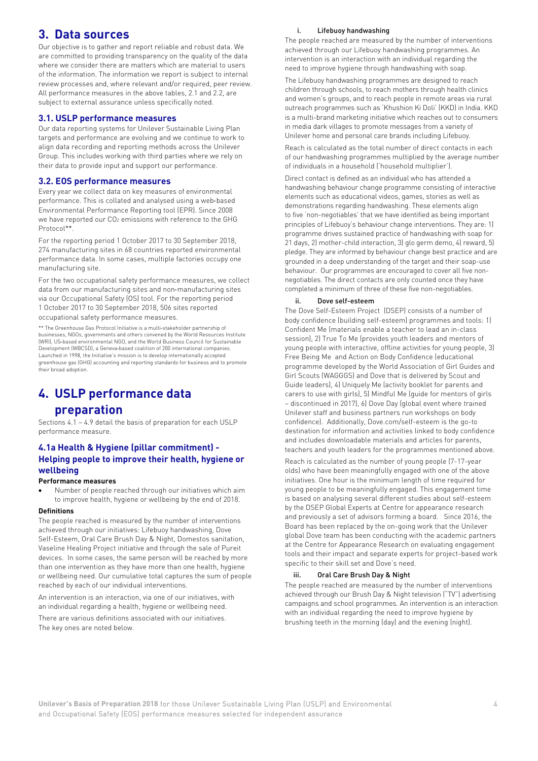### **3. Data sources**

Our objective is to gather and report reliable and robust data. We are committed to providing transparency on the quality of the data where we consider there are matters which are material to users of the information. The information we report is subject to internal review processes and, where relevant and/or required, peer review. All performance measures in the above tables, 2.1 and 2.2, are subject to external assurance unless specifically noted.

#### **3.1. USLP performance measures**

Our data reporting systems for Unilever Sustainable Living Plan targets and performance are evolving and we continue to work to align data recording and reporting methods across the Unilever Group. This includes working with third parties where we rely on their data to provide input and support our performance.

#### **3.2. EOS performance measures**

Every year we collect data on key measures of environmental performance. This is collated and analysed using a web‐based Environmental Performance Reporting tool (EPR). Since 2008 we have reported our CO2 emissions with reference to the GHG Protocol\*\*.

For the reporting period 1 October 2017 to 30 September 2018, 274 manufacturing sites in 68 countries reported environmental performance data. In some cases, multiple factories occupy one manufacturing site.

For the two occupational safety performance measures, we collect data from our manufacturing sites and non‐manufacturing sites via our Occupational Safety (OS) tool. For the reporting period 1 October 2017 to 30 September 2018, 506 sites reported occupational safety performance measures.

\*\* The Greenhouse Gas Protocol Initiative is a multi-stakeholder partnership of businesses, NGOs, governments and others convened by the World Resources Institute (WRI), US‐based environmental NGO, and the World Business Council for Sustainable Development (WBCSD), a Geneva‐based coalition of 200 international companies. Launched in 1998, the Initiative's mission is to develop internationally accepted greenhouse gas (GHG) accounting and reporting standards for business and to promote their broad adoption.

## **4. USLP performance data**

#### **preparation**

Sections 4.1 – 4.9 detail the basis of preparation for each USLP performance measure.

#### **4.1a Health & Hygiene (pillar commitment) - Helping people to improve their health, hygiene or wellbeing**

#### **Performance measures**

• Number of people reached through our initiatives which aim to improve health, hygiene or wellbeing by the end of 2018.

#### **Definitions**

The people reached is measured by the number of interventions achieved through our initiatives: Lifebuoy handwashing, Dove Self-Esteem, Oral Care Brush Day & Night, Domestos sanitation, Vaseline Healing Project initiative and through the sale of Pureit devices. In some cases, the same person will be reached by more than one intervention as they have more than one health, hygiene or wellbeing need. Our cumulative total captures the sum of people reached by each of our individual interventions.

An intervention is an interaction, via one of our initiatives, with an individual regarding a health, hygiene or wellbeing need. There are various definitions associated with our initiatives.

The key ones are noted below.

#### i. Lifebuoy handwashing

The people reached are measured by the number of interventions achieved through our Lifebuoy handwashing programmes. An intervention is an interaction with an individual regarding the need to improve hygiene through handwashing with soap.

The Lifebuoy handwashing programmes are designed to reach children through schools, to reach mothers through health clinics and women's groups, and to reach people in remote areas via rural outreach programmes such as 'Khushion Ki Doli' (KKD) in India. KKD is a multi-brand marketing initiative which reaches out to consumers in media dark villages to promote messages from a variety of Unilever home and personal care brands including Lifebuoy.

Reach is calculated as the total number of direct contacts in each of our handwashing programmes multiplied by the average number of individuals in a household ('household multiplier').

Direct contact is defined as an individual who has attended a handwashing behaviour change programme consisting of interactive elements such as educational videos, games, stories as well as demonstrations regarding handwashing. These elements align to five 'non-negotiables' that we have identified as being important principles of Lifebuoy's behaviour change interventions. They are: 1) programme drives sustained practice of handwashing with soap for 21 days, 2) mother-child interaction, 3) glo germ demo, 4) reward, 5) pledge. They are informed by behaviour change best practice and are grounded in a deep understanding of the target and their soap-use behaviour. Our programmes are encouraged to cover all five nonnegotiables. The direct contacts are only counted once they have completed a minimum of three of these five non-negotiables.

#### ii. Dove self-esteem

The Dove Self-Esteem Project (DSEP) consists of a number of body confidence (building self-esteem) programmes and tools: 1) Confident Me (materials enable a teacher to lead an in-class session), 2) True To Me (provides youth leaders and mentors of young people with interactive, offline activities for young people, 3) Free Being Me and Action on Body Confidence (educational programme developed by the World Association of Girl Guides and Girl Scouts (WAGGGS) and Dove that is delivered by Scout and Guide leaders), 4) Uniquely Me (activity booklet for parents and carers to use with girls), 5) Mindful Me (guide for mentors of girls – discontinued in 2017), 6) Dove Day (global event where trained Unilever staff and business partners run workshops on body confidence). Additionally, Dove.com/self-esteem is the go-to destination for information and activities linked to body confidence and includes downloadable materials and articles for parents, teachers and youth leaders for the programmes mentioned above.

Reach is calculated as the number of young people (7-17-year olds) who have been meaningfully engaged with one of the above initiatives. One hour is the minimum length of time required for young people to be meaningfully engaged. This engagement time is based on analysing several different studies about self-esteem by the DSEP Global Experts at Centre for appearance research and previously a set of advisors forming a board. Since 2016, the Board has been replaced by the on-going work that the Unilever global Dove team has been conducting with the academic partners at the Centre for Appearance Research on evaluating engagement tools and their impact and separate experts for project-based work specific to their skill set and Dove's need.

#### iii. Oral Care Brush Day & Night

The people reached are measured by the number of interventions achieved through our Brush Day & Night television ("TV") advertising campaigns and school programmes. An intervention is an interaction with an individual regarding the need to improve hygiene by brushing teeth in the morning (day) and the evening (night).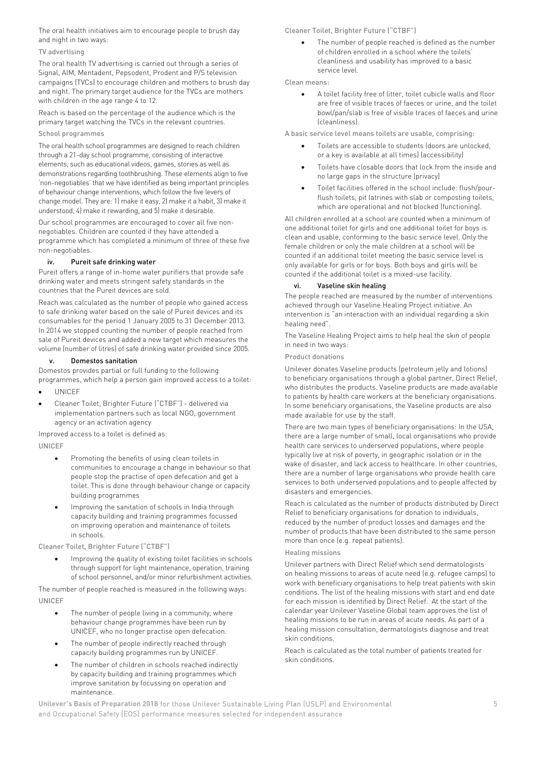The oral health initiatives aim to encourage people to brush day and night in two ways:

#### TV advertising

The oral health TV advertising is carried out through a series of Signal, AIM, Mentadent, Pepsodent, Prodent and P/S television campaigns (TVCs) to encourage children and mothers to brush day and night. The primary target audience for the TVCs are mothers with children in the age range 4 to 12.

Reach is based on the percentage of the audience which is the primary target watching the TVCs in the relevant countries. School programmes

The oral health school programmes are designed to reach children through a 21-day school programme, consisting of interactive elements, such as educational videos, games, stories as well as demonstrations regarding toothbrushing. These elements align to five 'non-negotiables' that we have identified as being important principles of behaviour change interventions, which follow the five levers of change model. They are: 1) make it easy, 2) make it a habit, 3) make it understood, 4) make it rewarding, and 5) make it desirable.

Our school programmes are encouraged to cover all five nonnegotiables. Children are counted if they have attended a programme which has completed a minimum of three of these five non-negotiables.

#### iv. Pureit safe drinking water

Pureit offers a range of in-home water purifiers that provide safe drinking water and meets stringent safety standards in the countries that the Pureit devices are sold.

Reach was calculated as the number of people who gained access to safe drinking water based on the sale of Pureit devices and its consumables for the period 1 January 2005 to 31 December 2013. In 2014 we stopped counting the number of people reached from sale of Pureit devices and added a new target which measures the volume (number of litres) of safe drinking water provided since 2005.

#### v. Domestos sanitation

Domestos provides partial or full funding to the following programmes, which help a person gain improved access to a toilet:

- UNICEF
- Cleaner Toilet, Brighter Future ("CTBF") delivered via implementation partners such as local NGO, government agency or an activation agency

Improved access to a toilet is defined as: UNICEF

- Promoting the benefits of using clean toilets in communities to encourage a change in behaviour so that people stop the practise of open defecation and get a toilet. This is done through behaviour change or capacity building programmes
- Improving the sanitation of schools in India through capacity building and training programmes focussed on improving operation and maintenance of toilets in schools.

Cleaner Toilet, Brighter Future ("CTBF")

• Improving the quality of existing toilet facilities in schools through support for light maintenance, operation, training of school personnel, and/or minor refurbishment activities.

The number of people reached is measured in the following ways: UNICEF

- The number of people living in a community, where behaviour change programmes have been run by UNICEF, who no longer practise open defecation.
- The number of people indirectly reached through capacity building programmes run by UNICEF.
- The number of children in schools reached indirectly by capacity building and training programmes which improve sanitation by focussing on operation and maintenance.

Cleaner Toilet, Brighter Future ("CTBF")

The number of people reached is defined as the number of children enrolled in a school where the toilets' cleanliness and usability has improved to a basic service level.

Clean means:

• A toilet facility free of litter, toilet cubicle walls and floor are free of visible traces of faeces or urine, and the toilet bowl/pan/slab is free of visible traces of faeces and urine (cleanliness).

A basic service level means toilets are usable, comprising:

- Toilets are accessible to students (doors are unlocked, or a key is available at all times) (accessibility)
- Toilets have closable doors that lock from the inside and no large gaps in the structure (privacy)
- Toilet facilities offered in the school include: flush/pourflush toilets, pit latrines with slab or composting toilets, which are operational and not blocked (functioning).

All children enrolled at a school are counted when a minimum of one additional toilet for girls and one additional toilet for boys is clean and usable, conforming to the basic service level. Only the female children or only the male children at a school will be counted if an additional toilet meeting the basic service level is only available for girls or for boys. Both boys and girls will be counted if the additional toilet is a mixed-use facility.

#### vi. Vaseline skin healing

The people reached are measured by the number of interventions achieved through our Vaseline Healing Project initiative. An intervention is "an interaction with an individual regarding a skin healing need".

The Vaseline Healing Project aims to help heal the skin of people in need in two ways:

#### Product donations

Unilever donates Vaseline products (petroleum jelly and lotions) to beneficiary organisations through a global partner, Direct Relief, who distributes the products. Vaseline products are made available to patients by health care workers at the beneficiary organisations. In some beneficiary organisations, the Vaseline products are also made available for use by the staff.

There are two main types of beneficiary organisations: In the USA, there are a large number of small, local organisations who provide health care services to underserved populations, where people typically live at risk of poverty, in geographic isolation or in the wake of disaster, and lack access to healthcare. In other countries, there are a number of large organisations who provide health care services to both underserved populations and to people affected by disasters and emergencies.

Reach is calculated as the number of products distributed by Direct Relief to beneficiary organisations for donation to individuals, reduced by the number of product losses and damages and the number of products that have been distributed to the same person more than once (e.g. repeat patients).

#### Healing missions

Unilever partners with Direct Relief which send dermatologists on healing missions to areas of acute need (e.g. refugee camps) to work with beneficiary organisations to help treat patients with skin conditions. The list of the healing missions with start and end date for each mission is identified by Direct Relief. At the start of the calendar year Unilever Vaseline Global team approves the list of healing missions to be run in areas of acute needs. As part of a healing mission consultation, dermatologists diagnose and treat skin conditions.

Reach is calculated as the total number of patients treated for skin conditions.

**Unilever's Basis of Preparation 2018** for those Unilever Sustainable Living Plan (USLP) and Environmental 5 and Occupational Safety (EOS) performance measures selected for independent assurance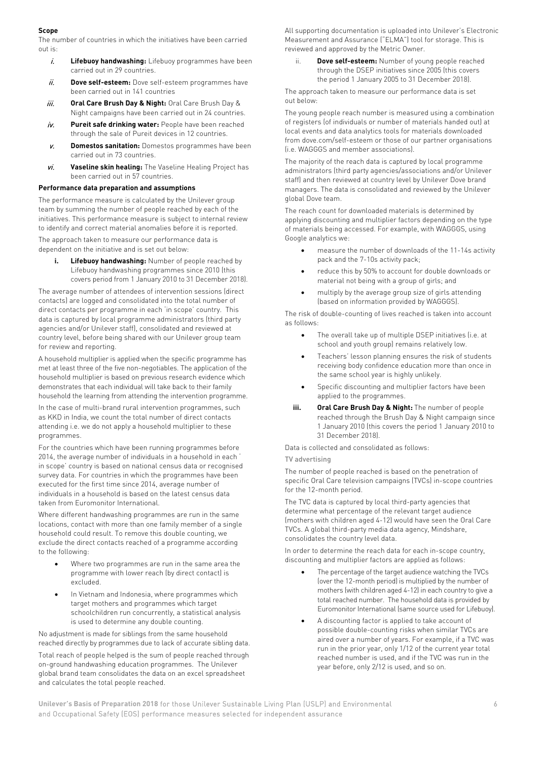#### **Scope**

The number of countries in which the initiatives have been carried out is:

- i. **Lifebuoy handwashing:** Lifebuoy programmes have been carried out in 29 countries.
- ii. **Dove self-esteem:** Dove self-esteem programmes have been carried out in 141 countries
- iii. **Oral Care Brush Day & Night:** Oral Care Brush Day & Night campaigns have been carried out in 24 countries.
- iv. **Pureit safe drinking water:** People have been reached through the sale of Pureit devices in 12 countries.
- v. **Domestos sanitation:** Domestos programmes have been carried out in 73 countries.
- vi. **Vaseline skin healing:** The Vaseline Healing Project has been carried out in 57 countries.

#### **Performance data preparation and assumptions**

The performance measure is calculated by the Unilever group team by summing the number of people reached by each of the initiatives. This performance measure is subject to internal review to identify and correct material anomalies before it is reported.

The approach taken to measure our performance data is dependent on the initiative and is set out below:

**i. Lifebuoy handwashing:** Number of people reached by Lifebuoy handwashing programmes since 2010 (this covers period from 1 January 2010 to 31 December 2018).

The average number of attendees of intervention sessions (direct contacts) are logged and consolidated into the total number of direct contacts per programme in each 'in scope' country. This data is captured by local programme administrators (third party agencies and/or Unilever staff), consolidated and reviewed at country level, before being shared with our Unilever group team for review and reporting.

A household multiplier is applied when the specific programme has met at least three of the five non-negotiables. The application of the household multiplier is based on previous research evidence which demonstrates that each individual will take back to their family household the learning from attending the intervention programme.

In the case of multi-brand rural intervention programmes, such as KKD in India, we count the total number of direct contacts attending i.e. we do not apply a household multiplier to these programmes.

For the countries which have been running programmes before 2014, the average number of individuals in a household in each ' in scope' country is based on national census data or recognised survey data. For countries in which the programmes have been executed for the first time since 2014, average number of individuals in a household is based on the latest census data taken from Euromonitor International.

Where different handwashing programmes are run in the same locations, contact with more than one family member of a single household could result. To remove this double counting, we exclude the direct contacts reached of a programme according to the following:

- Where two programmes are run in the same area the programme with lower reach (by direct contact) is excluded.
- In Vietnam and Indonesia, where programmes which target mothers and programmes which target schoolchildren run concurrently, a statistical analysis is used to determine any double counting.

No adjustment is made for siblings from the same household reached directly by programmes due to lack of accurate sibling data. Total reach of people helped is the sum of people reached through on-ground handwashing education programmes. The Unilever global brand team consolidates the data on an excel spreadsheet and calculates the total people reached.

All supporting documentation is uploaded into Unilever's Electronic Measurement and Assurance ("ELMA") tool for storage. This is reviewed and approved by the Metric Owner.

ii. **Dove self-esteem:** Number of young people reached through the DSEP initiatives since 2005 (this covers the period 1 January 2005 to 31 December 2018).

The approach taken to measure our performance data is set out below:

The young people reach number is measured using a combination of registers (of individuals or number of materials handed out) at local events and data analytics tools for materials downloaded from dove.com/self-esteem or those of our partner organisations (i.e. WAGGGS and member associations).

The majority of the reach data is captured by local programme administrators (third party agencies/associations and/or Unilever staff) and then reviewed at country level by Unilever Dove brand managers. The data is consolidated and reviewed by the Unilever global Dove team.

The reach count for downloaded materials is determined by applying discounting and multiplier factors depending on the type of materials being accessed. For example, with WAGGGS, using Google analytics we:

- measure the number of downloads of the 11-14s activity pack and the 7-10s activity pack;
- reduce this by 50% to account for double downloads or material not being with a group of girls; and
- multiply by the average group size of girls attending (based on information provided by WAGGGS).

The risk of double-counting of lives reached is taken into account as follows:

- The overall take up of multiple DSEP initiatives (i.e. at school and youth group) remains relatively low.
- Teachers' lesson planning ensures the risk of students receiving body confidence education more than once in the same school year is highly unlikely.
- Specific discounting and multiplier factors have been applied to the programmes.
- **iii. Oral Care Brush Day & Night:** The number of people reached through the Brush Day & Night campaign since 1 January 2010 (this covers the period 1 January 2010 to 31 December 2018).

Data is collected and consolidated as follows:

#### TV advertising

The number of people reached is based on the penetration of specific Oral Care television campaigns (TVCs) in-scope countries for the 12-month period.

The TVC data is captured by local third-party agencies that determine what percentage of the relevant target audience (mothers with children aged 4-12) would have seen the Oral Care TVCs. A global third-party media data agency, Mindshare, consolidates the country level data.

In order to determine the reach data for each in-scope country, discounting and multiplier factors are applied as follows:

- The percentage of the target audience watching the TVCs (over the 12-month period) is multiplied by the number of mothers (with children aged 4-12) in each country to give a total reached number. The household data is provided by Euromonitor International (same source used for Lifebuoy).
- A discounting factor is applied to take account of possible double-counting risks when similar TVCs are aired over a number of years. For example, if a TVC was run in the prior year, only 1/12 of the current year total reached number is used, and if the TVC was run in the year before, only 2/12 is used, and so on.

**Unilever's Basis of Preparation 2018** for those Unilever Sustainable Living Plan (USLP) and Environmental 6 and Occupational Safety (EOS) performance measures selected for independent assurance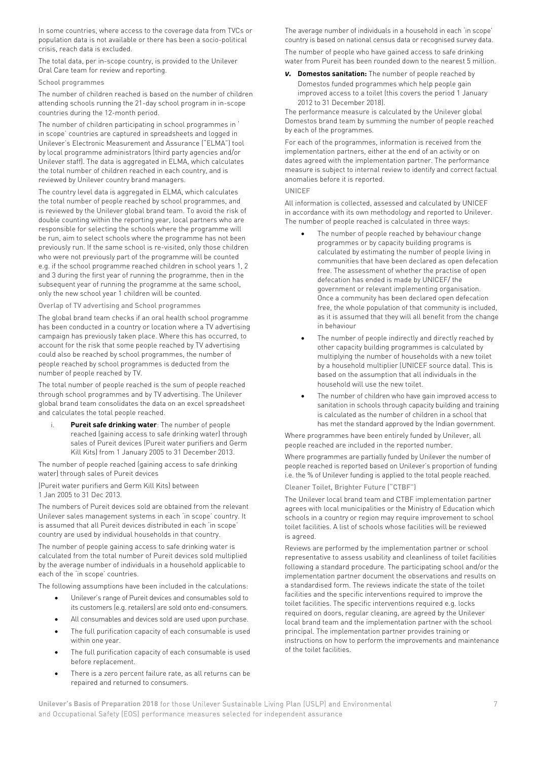In some countries, where access to the coverage data from TVCs or population data is not available or there has been a socio-political crisis, reach data is excluded.

The total data, per in-scope country, is provided to the Unilever Oral Care team for review and reporting.

#### School programmes

The number of children reached is based on the number of children attending schools running the 21-day school program in in-scope countries during the 12-month period.

The number of children participating in school programmes in ' in scope' countries are captured in spreadsheets and logged in Unilever's Electronic Measurement and Assurance ("ELMA") tool by local programme administrators (third party agencies and/or Unilever staff). The data is aggregated in ELMA, which calculates the total number of children reached in each country, and is reviewed by Unilever country brand managers.

The country level data is aggregated in ELMA, which calculates the total number of people reached by school programmes, and is reviewed by the Unilever global brand team. To avoid the risk of double counting within the reporting year, local partners who are responsible for selecting the schools where the programme will be run, aim to select schools where the programme has not been previously run. If the same school is re-visited, only those children who were not previously part of the programme will be counted e.g. if the school programme reached children in school years 1, 2 and 3 during the first year of running the programme, then in the subsequent year of running the programme at the same school, only the new school year 1 children will be counted.

Overlap of TV advertising and School programmes

The global brand team checks if an oral health school programme has been conducted in a country or location where a TV advertising campaign has previously taken place. Where this has occurred, to account for the risk that some people reached by TV advertising could also be reached by school programmes, the number of people reached by school programmes is deducted from the number of people reached by TV.

The total number of people reached is the sum of people reached through school programmes and by TV advertising. The Unilever global brand team consolidates the data on an excel spreadsheet and calculates the total people reached.

Pureit safe drinking water: The number of people reached (gaining access to safe drinking water) through sales of Pureit devices (Pureit water purifiers and Germ Kill Kits) from 1 January 2005 to 31 December 2013.

The number of people reached (gaining access to safe drinking water) through sales of Pureit devices

(Pureit water purifiers and Germ Kill Kits) between 1 Jan 2005 to 31 Dec 2013.

The numbers of Pureit devices sold are obtained from the relevant Unilever sales management systems in each 'in scope' country. It is assumed that all Pureit devices distributed in each 'in scope' country are used by individual households in that country.

The number of people gaining access to safe drinking water is calculated from the total number of Pureit devices sold multiplied by the average number of individuals in a household applicable to each of the 'in scope' countries.

The following assumptions have been included in the calculations:

- Unilever's range of Pureit devices and consumables sold to its customers (e.g. retailers) are sold onto end-consumers.
- All consumables and devices sold are used upon purchase.
- The full purification capacity of each consumable is used within one year.
- The full purification capacity of each consumable is used before replacement.
- There is a zero percent failure rate, as all returns can be repaired and returned to consumers.

The average number of individuals in a household in each 'in scope' country is based on national census data or recognised survey data. The number of people who have gained access to safe drinking water from Pureit has been rounded down to the nearest 5 million.

*v.* **Domestos sanitation:** The number of people reached by Domestos funded programmes which help people gain improved access to a toilet (this covers the period 1 January 2012 to 31 December 2018).

The performance measure is calculated by the Unilever global Domestos brand team by summing the number of people reached by each of the programmes.

For each of the programmes, information is received from the implementation partners, either at the end of an activity or on dates agreed with the implementation partner. The performance measure is subject to internal review to identify and correct factual anomalies before it is reported.

#### UNICEF

All information is collected, assessed and calculated by UNICEF in accordance with its own methodology and reported to Unilever. The number of people reached is calculated in three ways:

- The number of people reached by behaviour change programmes or by capacity building programs is calculated by estimating the number of people living in communities that have been declared as open defecation free. The assessment of whether the practise of open defecation has ended is made by UNICEF/ the government or relevant implementing organisation. Once a community has been declared open defecation free, the whole population of that community is included, as it is assumed that they will all benefit from the change in behaviour
- The number of people indirectly and directly reached by other capacity building programmes is calculated by multiplying the number of households with a new toilet by a household multiplier (UNICEF source data). This is based on the assumption that all individuals in the household will use the new toilet.
- The number of children who have gain improved access to sanitation in schools through capacity building and training is calculated as the number of children in a school that has met the standard approved by the Indian government.

Where programmes have been entirely funded by Unilever, all people reached are included in the reported number.

Where programmes are partially funded by Unilever the number of people reached is reported based on Unilever's proportion of funding i.e. the % of Unilever funding is applied to the total people reached.

Cleaner Toilet, Brighter Future ("CTBF")

The Unilever local brand team and CTBF implementation partner agrees with local municipalities or the Ministry of Education which schools in a country or region may require improvement to school toilet facilities. A list of schools whose facilities will be reviewed is agreed.

Reviews are performed by the implementation partner or school representative to assess usability and cleanliness of toilet facilities following a standard procedure. The participating school and/or the implementation partner document the observations and results on a standardised form. The reviews indicate the state of the toilet facilities and the specific interventions required to improve the toilet facilities. The specific interventions required e.g. locks required on doors, regular cleaning, are agreed by the Unilever local brand team and the implementation partner with the school principal. The implementation partner provides training or instructions on how to perform the improvements and maintenance of the toilet facilities.

**Unilever's Basis of Preparation 2018** for those Unilever Sustainable Living Plan (USLP) and Environmental 7 and Occupational Safety (EOS) performance measures selected for independent assurance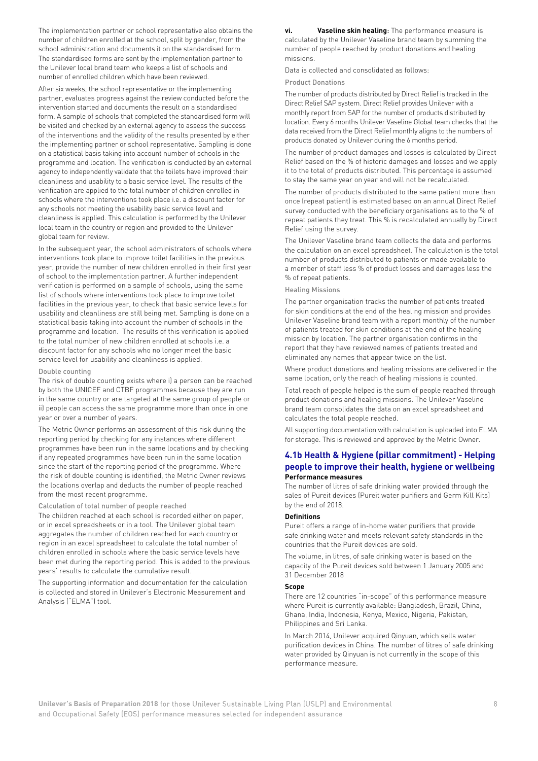The implementation partner or school representative also obtains the number of children enrolled at the school, split by gender, from the school administration and documents it on the standardised form. The standardised forms are sent by the implementation partner to the Unilever local brand team who keeps a list of schools and number of enrolled children which have been reviewed.

After six weeks, the school representative or the implementing partner, evaluates progress against the review conducted before the intervention started and documents the result on a standardised form. A sample of schools that completed the standardised form will be visited and checked by an external agency to assess the success of the interventions and the validity of the results presented by either the implementing partner or school representative. Sampling is done on a statistical basis taking into account number of schools in the programme and location. The verification is conducted by an external agency to independently validate that the toilets have improved their cleanliness and usability to a basic service level. The results of the verification are applied to the total number of children enrolled in schools where the interventions took place i.e. a discount factor for any schools not meeting the usability basic service level and cleanliness is applied. This calculation is performed by the Unilever local team in the country or region and provided to the Unilever global team for review.

In the subsequent year, the school administrators of schools where interventions took place to improve toilet facilities in the previous year, provide the number of new children enrolled in their first year of school to the implementation partner. A further independent verification is performed on a sample of schools, using the same list of schools where interventions took place to improve toilet facilities in the previous year, to check that basic service levels for usability and cleanliness are still being met. Sampling is done on a statistical basis taking into account the number of schools in the programme and location. The results of this verification is applied to the total number of new children enrolled at schools i.e. a discount factor for any schools who no longer meet the basic service level for usability and cleanliness is applied.

#### Double counting

The risk of double counting exists where i) a person can be reached by both the UNICEF and CTBF programmes because they are run in the same country or are targeted at the same group of people or ii) people can access the same programme more than once in one year or over a number of years.

The Metric Owner performs an assessment of this risk during the reporting period by checking for any instances where different programmes have been run in the same locations and by checking if any repeated programmes have been run in the same location since the start of the reporting period of the programme. Where the risk of double counting is identified, the Metric Owner reviews the locations overlap and deducts the number of people reached from the most recent programme.

#### Calculation of total number of people reached

The children reached at each school is recorded either on paper, or in excel spreadsheets or in a tool. The Unilever global team aggregates the number of children reached for each country or region in an excel spreadsheet to calculate the total number of children enrolled in schools where the basic service levels have been met during the reporting period. This is added to the previous years' results to calculate the cumulative result.

The supporting information and documentation for the calculation is collected and stored in Unilever's Electronic Measurement and Analysis ("ELMA") tool.

**vi. Vaseline skin healing:** The performance measure is calculated by the Unilever Vaseline brand team by summing the number of people reached by product donations and healing missions.

Data is collected and consolidated as follows:

#### Product Donations

The number of products distributed by Direct Relief is tracked in the Direct Relief SAP system. Direct Relief provides Unilever with a monthly report from SAP for the number of products distributed by location. Every 6 months Unilever Vaseline Global team checks that the data received from the Direct Relief monthly aligns to the numbers of products donated by Unilever during the 6 months period.

The number of product damages and losses is calculated by Direct Relief based on the % of historic damages and losses and we apply it to the total of products distributed. This percentage is assumed to stay the same year on year and will not be recalculated.

The number of products distributed to the same patient more than once (repeat patient) is estimated based on an annual Direct Relief survey conducted with the beneficiary organisations as to the % of repeat patients they treat. This % is recalculated annually by Direct Relief using the survey.

The Unilever Vaseline brand team collects the data and performs the calculation on an excel spreadsheet. The calculation is the total number of products distributed to patients or made available to a member of staff less % of product losses and damages less the % of repeat patients.

#### Healing Missions

The partner organisation tracks the number of patients treated for skin conditions at the end of the healing mission and provides Unilever Vaseline brand team with a report monthly of the number of patients treated for skin conditions at the end of the healing mission by location. The partner organisation confirms in the report that they have reviewed names of patients treated and eliminated any names that appear twice on the list.

Where product donations and healing missions are delivered in the same location, only the reach of healing missions is counted.

Total reach of people helped is the sum of people reached through product donations and healing missions. The Unilever Vaseline brand team consolidates the data on an excel spreadsheet and calculates the total people reached.

All supporting documentation with calculation is uploaded into ELMA for storage. This is reviewed and approved by the Metric Owner.

#### **4.1b Health & Hygiene (pillar commitment) - Helping people to improve their health, hygiene or wellbeing Performance measures**

The number of litres of safe drinking water provided through the sales of Pureit devices (Pureit water purifiers and Germ Kill Kits) by the end of 2018.

#### **Definitions**

Pureit offers a range of in-home water purifiers that provide safe drinking water and meets relevant safety standards in the countries that the Pureit devices are sold.

The volume, in litres, of safe drinking water is based on the capacity of the Pureit devices sold between 1 January 2005 and 31 December 2018

#### **Scope**

There are 12 countries "in-scope" of this performance measure where Pureit is currently available: Bangladesh, Brazil, China, Ghana, India, Indonesia, Kenya, Mexico, Nigeria, Pakistan, Philippines and Sri Lanka.

In March 2014, Unilever acquired Qinyuan, which sells water purification devices in China. The number of litres of safe drinking water provided by Qinyuan is not currently in the scope of this performance measure.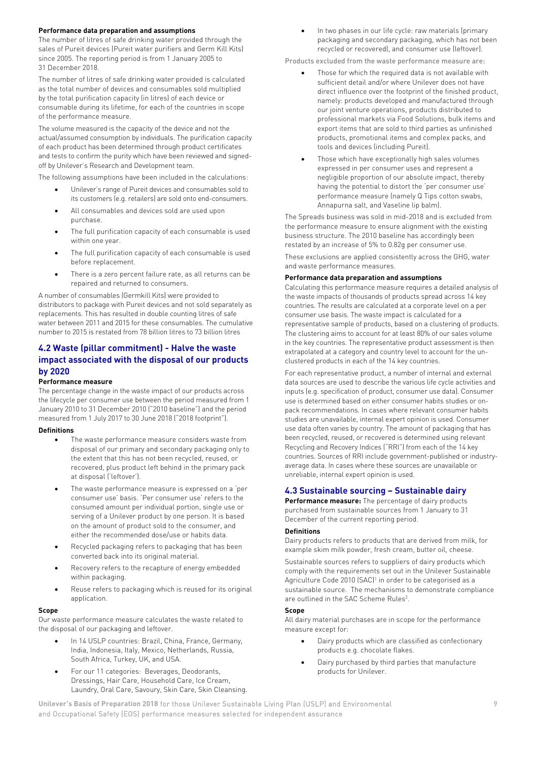#### **Performance data preparation and assumptions**

The number of litres of safe drinking water provided through the sales of Pureit devices (Pureit water purifiers and Germ Kill Kits) since 2005. The reporting period is from 1 January 2005 to 31 December 2018.

The number of litres of safe drinking water provided is calculated as the total number of devices and consumables sold multiplied by the total purification capacity (in litres) of each device or consumable during its lifetime, for each of the countries in scope of the performance measure.

The volume measured is the capacity of the device and not the actual/assumed consumption by individuals. The purification capacity of each product has been determined through product certificates and tests to confirm the purity which have been reviewed and signedoff by Unilever's Research and Development team.

The following assumptions have been included in the calculations:

- Unilever's range of Pureit devices and consumables sold to its customers (e.g. retailers) are sold onto end-consumers.
- All consumables and devices sold are used upon purchase.
- The full purification capacity of each consumable is used within one year.
- The full purification capacity of each consumable is used before replacement.
- There is a zero percent failure rate, as all returns can be repaired and returned to consumers.

A number of consumables (Germkill Kits) were provided to distributors to package with Pureit devices and not sold separately as replacements. This has resulted in double counting litres of safe water between 2011 and 2015 for these consumables. The cumulative number to 2015 is restated from 78 billion litres to 73 billion litres

#### **4.2 Waste (pillar commitment) - Halve the waste impact associated with the disposal of our products by 2020**

#### **Performance measure**

The percentage change in the waste impact of our products across the lifecycle per consumer use between the period measured from 1 January 2010 to 31 December 2010 ("2010 baseline") and the period measured from 1 July 2017 to 30 June 2018 ("2018 footprint").

#### **Definitions**

- The waste performance measure considers waste from disposal of our primary and secondary packaging only to the extent that this has not been recycled, reused, or recovered, plus product left behind in the primary pack at disposal ('leftover').
- The waste performance measure is expressed on a 'per consumer use' basis. 'Per consumer use' refers to the consumed amount per individual portion, single use or serving of a Unilever product by one person. It is based on the amount of product sold to the consumer, and either the recommended dose/use or habits data.
- Recycled packaging refers to packaging that has been converted back into its original material.
- Recovery refers to the recapture of energy embedded within packaging.
- Reuse refers to packaging which is reused for its original application.

#### **Scope**

Our waste performance measure calculates the waste related to the disposal of our packaging and leftover.

- In 14 USLP countries: Brazil, China, France, Germany, India, Indonesia, Italy, Mexico, Netherlands, Russia, South Africa, Turkey, UK, and USA.
- For our 11 categories: Beverages, Deodorants, Dressings, Hair Care, Household Care, Ice Cream, Laundry, Oral Care, Savoury, Skin Care, Skin Cleansing.

• In two phases in our life cycle: raw materials (primary packaging and secondary packaging, which has not been recycled or recovered), and consumer use (leftover).

Products excluded from the waste performance measure are:

- Those for which the required data is not available with sufficient detail and/or where Unilever does not have direct influence over the footprint of the finished product, namely: products developed and manufactured through our joint venture operations, products distributed to professional markets via Food Solutions, bulk items and export items that are sold to third parties as unfinished products, promotional items and complex packs, and tools and devices (including Pureit).
- Those which have exceptionally high sales volumes expressed in per consumer uses and represent a negligible proportion of our absolute impact, thereby having the potential to distort the 'per consumer use' performance measure (namely Q Tips cotton swabs, Annapurna salt, and Vaseline lip balm).

The Spreads business was sold in mid-2018 and is excluded from the performance measure to ensure alignment with the existing business structure. The 2010 baseline has accordingly been restated by an increase of 5% to 0.82g per consumer use.

These exclusions are applied consistently across the GHG, water and waste performance measures.

#### **Performance data preparation and assumptions**

Calculating this performance measure requires a detailed analysis of the waste impacts of thousands of products spread across 14 key countries. The results are calculated at a corporate level on a per consumer use basis. The waste impact is calculated for a representative sample of products, based on a clustering of products. The clustering aims to account for at least 80% of our sales volume in the key countries. The representative product assessment is then extrapolated at a category and country level to account for the unclustered products in each of the 14 key countries.

For each representative product, a number of internal and external data sources are used to describe the various life cycle activities and inputs (e.g. specification of product, consumer use data). Consumer use is determined based on either consumer habits studies or onpack recommendations. In cases where relevant consumer habits studies are unavailable, internal expert opinion is used. Consumer use data often varies by country. The amount of packaging that has been recycled, reused, or recovered is determined using relevant Recycling and Recovery Indices ("RRI") from each of the 14 key countries. Sources of RRI include government-published or industryaverage data. In cases where these sources are unavailable or unreliable, internal expert opinion is used.

#### **4.3 Sustainable sourcing – Sustainable dairy**

**Performance measure:** The percentage of dairy products purchased from sustainable sources from 1 January to 31 December of the current reporting period.

#### **Definitions**

Dairy products refers to products that are derived from milk, for example skim milk powder, fresh cream, butter oil, cheese.

Sustainable sources refers to suppliers of dairy products which comply with the requirements set out in the Unilever Sustainable Agriculture Code 2010 (SAC)<sup>1</sup> in order to be categorised as a sustainable source. The mechanisms to demonstrate compliance are outlined in the SAC Scheme Rules<sup>2</sup>.

#### **Scope**

All dairy material purchases are in scope for the performance measure except for:

- Dairy products which are classified as confectionary products e.g. chocolate flakes.
- Dairy purchased by third parties that manufacture products for Unilever.

**Unilever's Basis of Preparation 2018** for those Unilever Sustainable Living Plan (USLP) and Environmental 9 and Occupational Safety (EOS) performance measures selected for independent assurance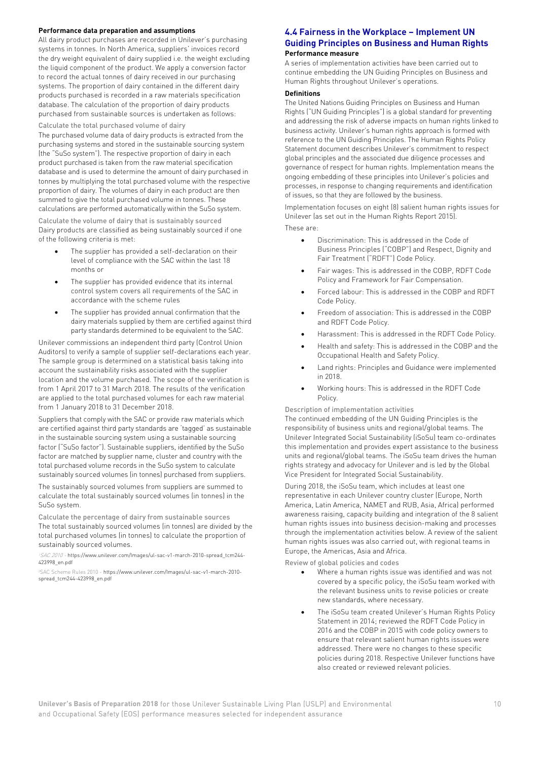#### **Performance data preparation and assumptions**

All dairy product purchases are recorded in Unilever's purchasing systems in tonnes. In North America, suppliers' invoices record the dry weight equivalent of dairy supplied i.e. the weight excluding the liquid component of the product. We apply a conversion factor to record the actual tonnes of dairy received in our purchasing systems. The proportion of dairy contained in the different dairy products purchased is recorded in a raw materials specification database. The calculation of the proportion of dairy products purchased from sustainable sources is undertaken as follows:

Calculate the total purchased volume of dairy

The purchased volume data of dairy products is extracted from the purchasing systems and stored in the sustainable sourcing system (the "SuSo system"). The respective proportion of dairy in each product purchased is taken from the raw material specification database and is used to determine the amount of dairy purchased in tonnes by multiplying the total purchased volume with the respective proportion of dairy. The volumes of dairy in each product are then summed to give the total purchased volume in tonnes. These calculations are performed automatically within the SuSo system.

Calculate the volume of dairy that is sustainably sourced Dairy products are classified as being sustainably sourced if one of the following criteria is met:

- The supplier has provided a self-declaration on their level of compliance with the SAC within the last 18 months or
- The supplier has provided evidence that its internal control system covers all requirements of the SAC in accordance with the scheme rules
- The supplier has provided annual confirmation that the dairy materials supplied by them are certified against third party standards determined to be equivalent to the SAC.

Unilever commissions an independent third party (Control Union Auditors) to verify a sample of supplier self-declarations each year. The sample group is determined on a statistical basis taking into account the sustainability risks associated with the supplier location and the volume purchased. The scope of the verification is from 1 April 2017 to 31 March 2018. The results of the verification are applied to the total purchased volumes for each raw material from 1 January 2018 to 31 December 2018.

Suppliers that comply with the SAC or provide raw materials which are certified against third party standards are 'tagged' as sustainable in the sustainable sourcing system using a sustainable sourcing factor ("SuSo factor"). Sustainable suppliers, identified by the SuSo factor are matched by supplier name, cluster and country with the total purchased volume records in the SuSo system to calculate sustainably sourced volumes (in tonnes) purchased from suppliers.

The sustainably sourced volumes from suppliers are summed to calculate the total sustainably sourced volumes (in tonnes) in the SuSo system.

Calculate the percentage of dairy from sustainable sources The total sustainably sourced volumes (in tonnes) are divided by the total purchased volumes (in tonnes) to calculate the proportion of sustainably sourced volumes.

1SAC 2010 - [https://www.unilever.com/Images/ul-sac-v1-march-2010-spread\\_tcm244-](https://www.unilever.com/Images/ul-sac-v1-march-2010-spread_tcm244-423998_en.pdf) [423998\\_en.pdf](https://www.unilever.com/Images/ul-sac-v1-march-2010-spread_tcm244-423998_en.pdf)

2SAC Scheme Rules 2010 [- https://www.unilever.com/Images/ul-sac-v1-march-2010](https://www.unilever.com/Images/ul-sac-v1-march-2010-spread_tcm244-423998_en.pdf) [spread\\_tcm244-423998\\_en.pdf](https://www.unilever.com/Images/ul-sac-v1-march-2010-spread_tcm244-423998_en.pdf)

#### **4.4 Fairness in the Workplace – Implement UN Guiding Principles on Business and Human Rights Performance measure**

A series of implementation activities have been carried out to continue embedding the UN Guiding Principles on Business and Human Rights throughout Unilever's operations.

#### **Definitions**

The United Nations Guiding Principles on Business and Human Rights ("UN Guiding Principles") is a global standard for preventing and addressing the risk of adverse impacts on human rights linked to business activity. Unilever's human rights approach is formed with reference to the UN Guiding Principles. The Human Rights Policy Statement document describes Unilever's commitment to respect global principles and the associated due diligence processes and governance of respect for human rights. Implementation means the ongoing embedding of these principles into Unilever's policies and processes, in response to changing requirements and identification of issues, so that they are followed by the business.

Implementation focuses on eight (8) salient human rights issues for Unilever (as set out in the Human Rights Report 2015).

These are:

- Discrimination: This is addressed in the Code of Business Principles ("COBP") and Respect, Dignity and Fair Treatment ("RDFT") Code Policy.
- Fair wages: This is addressed in the COBP, RDFT Code Policy and Framework for Fair Compensation.
- Forced labour: This is addressed in the COBP and RDFT Code Policy.
- Freedom of association: This is addressed in the COBP and RDFT Code Policy.
- Harassment: This is addressed in the RDFT Code Policy.
- Health and safety: This is addressed in the COBP and the Occupational Health and Safety Policy.
- Land rights: Principles and Guidance were implemented in 2018.
- Working hours: This is addressed in the RDFT Code Policy.

Description of implementation activities

The continued embedding of the UN Guiding Principles is the responsibility of business units and regional/global teams. The Unilever Integrated Social Sustainability (iSoSu) team co-ordinates this implementation and provides expert assistance to the business units and regional/global teams. The iSoSu team drives the human rights strategy and advocacy for Unilever and is led by the Global Vice President for Integrated Social Sustainability.

During 2018, the iSoSu team, which includes at least one representative in each Unilever country cluster (Europe, North America, Latin America, NAMET and RUB, Asia, Africa) performed awareness raising, capacity building and integration of the 8 salient human rights issues into business decision-making and processes through the implementation activities below. A review of the salient human rights issues was also carried out, with regional teams in Europe, the Americas, Asia and Africa.

Review of global policies and codes

- Where a human rights issue was identified and was not covered by a specific policy, the iSoSu team worked with the relevant business units to revise policies or create new standards, where necessary.
- The iSoSu team created Unilever's Human Rights Policy Statement in 2014; reviewed the RDFT Code Policy in 2016 and the COBP in 2015 with code policy owners to ensure that relevant salient human rights issues were addressed. There were no changes to these specific policies during 2018. Respective Unilever functions have also created or reviewed relevant policies.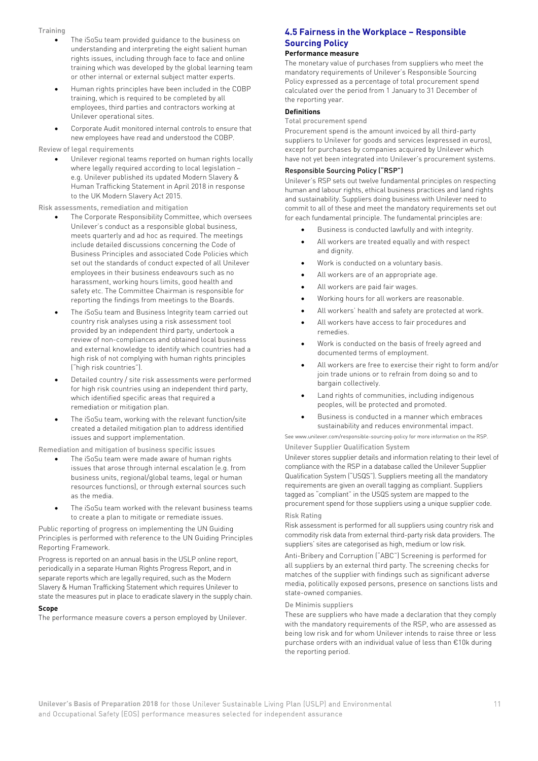#### **Training**

- The iSoSu team provided guidance to the business on understanding and interpreting the eight salient human rights issues, including through face to face and online training which was developed by the global learning team or other internal or external subject matter experts.
- Human rights principles have been included in the COBP training, which is required to be completed by all employees, third parties and contractors working at Unilever operational sites.
- Corporate Audit monitored internal controls to ensure that new employees have read and understood the COBP.

#### Review of legal requirements

• Unilever regional teams reported on human rights locally where legally required according to local legislation – e.g. Unilever published its updated Modern Slavery & Human Trafficking Statement in April 2018 in response to the UK Modern Slavery Act 2015.

Risk assessments, remediation and mitigation

- The Corporate Responsibility Committee, which oversees Unilever's conduct as a responsible global business, meets quarterly and ad hoc as required. The meetings include detailed discussions concerning the Code of Business Principles and associated Code Policies which set out the standards of conduct expected of all Unilever employees in their business endeavours such as no harassment, working hours limits, good health and safety etc. The Committee Chairman is responsible for reporting the findings from meetings to the Boards.
- The iSoSu team and Business Integrity team carried out country risk analyses using a risk assessment tool provided by an independent third party, undertook a review of non-compliances and obtained local business and external knowledge to identify which countries had a high risk of not complying with human rights principles ("high risk countries").
- Detailed country / site risk assessments were performed for high risk countries using an independent third party, which identified specific areas that required a remediation or mitigation plan.
- The iSoSu team, working with the relevant function/site created a detailed mitigation plan to address identified issues and support implementation.

Remediation and mitigation of business specific issues

- The iSoSu team were made aware of human rights issues that arose through internal escalation (e.g. from business units, regional/global teams, legal or human resources functions), or through external sources such as the media.
- The iSoSu team worked with the relevant business teams to create a plan to mitigate or remediate issues.

Public reporting of progress on implementing the UN Guiding Principles is performed with reference to the UN Guiding Principles Reporting Framework.

Progress is reported on an annual basis in the USLP online report, periodically in a separate Human Rights Progress Report, and in separate reports which are legally required, such as the Modern Slavery & Human Trafficking Statement which requires Unilever to state the measures put in place to eradicate slavery in the supply chain.

#### **Scope**

The performance measure covers a person employed by Unilever.

### **4.5 Fairness in the Workplace – Responsible Sourcing Policy**

#### **Performance measure**

The monetary value of purchases from suppliers who meet the mandatory requirements of Unilever's Responsible Sourcing Policy expressed as a percentage of total procurement spend calculated over the period from 1 January to 31 December of the reporting year.

#### **Definitions**

Total procurement spend

Procurement spend is the amount invoiced by all third-party suppliers to Unilever for goods and services (expressed in euros), except for purchases by companies acquired by Unilever which have not yet been integrated into Unilever's procurement systems.

#### Responsible Sourcing Policy ("RSP")

Unilever's RSP sets out twelve fundamental principles on respecting human and labour rights, ethical business practices and land rights and sustainability. Suppliers doing business with Unilever need to commit to all of these and meet the mandatory requirements set out for each fundamental principle. The fundamental principles are:

- Business is conducted lawfully and with integrity.
- All workers are treated equally and with respect and dignity.
- Work is conducted on a voluntary basis.
- All workers are of an appropriate age.
- All workers are paid fair wages.
- Working hours for all workers are reasonable.
- All workers' health and safety are protected at work.
- All workers have access to fair procedures and remedies.
- Work is conducted on the basis of freely agreed and documented terms of employment.
- All workers are free to exercise their right to form and/or join trade unions or to refrain from doing so and to bargain collectively.
- Land rights of communities, including indigenous peoples, will be protected and promoted.
- Business is conducted in a manner which embraces sustainability and reduces environmental impact.

See www.unilever.com/responsible-sourcing-policy for more information on the RSP. Unilever Supplier Qualification System

Unilever stores supplier details and information relating to their level of compliance with the RSP in a database called the Unilever Supplier Qualification System ("USQS"). Suppliers meeting all the mandatory requirements are given an overall tagging as compliant. Suppliers tagged as "compliant" in the USQS system are mapped to the procurement spend for those suppliers using a unique supplier code.

#### Risk Rating

Risk assessment is performed for all suppliers using country risk and commodity risk data from external third-party risk data providers. The suppliers' sites are categorised as high, medium or low risk.

Anti-Bribery and Corruption ("ABC") Screening is performed for all suppliers by an external third party. The screening checks for matches of the supplier with findings such as significant adverse media, politically exposed persons, presence on sanctions lists and state-owned companies.

#### De Minimis suppliers

These are suppliers who have made a declaration that they comply with the mandatory requirements of the RSP, who are assessed as being low risk and for whom Unilever intends to raise three or less purchase orders with an individual value of less than €10k during the reporting period.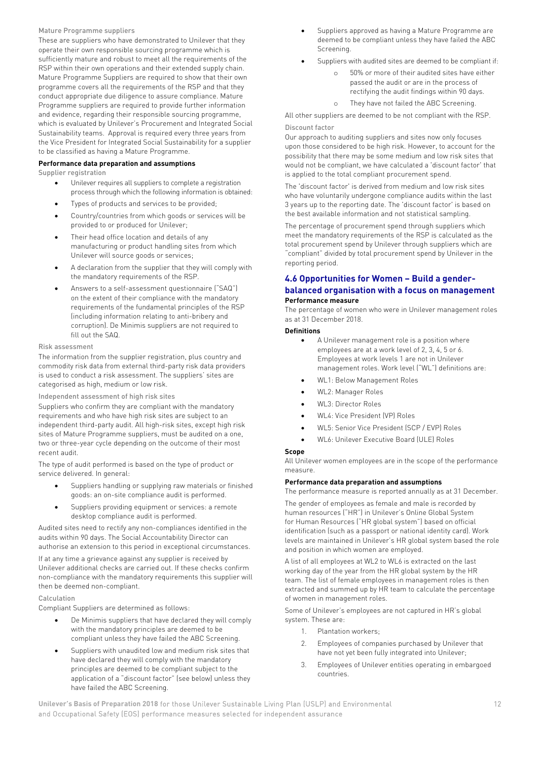#### Mature Programme suppliers

These are suppliers who have demonstrated to Unilever that they operate their own responsible sourcing programme which is sufficiently mature and robust to meet all the requirements of the RSP within their own operations and their extended supply chain. Mature Programme Suppliers are required to show that their own programme covers all the requirements of the RSP and that they conduct appropriate due diligence to assure compliance. Mature Programme suppliers are required to provide further information and evidence, regarding their responsible sourcing programme, which is evaluated by Unilever's Procurement and Integrated Social Sustainability teams. Approval is required every three years from the Vice President for Integrated Social Sustainability for a supplier to be classified as having a Mature Programme.

#### **Performance data preparation and assumptions**

Supplier registration

- Unilever requires all suppliers to complete a registration process through which the following information is obtained:
- Types of products and services to be provided;
- Country/countries from which goods or services will be provided to or produced for Unilever;
- Their head office location and details of any manufacturing or product handling sites from which Unilever will source goods or services;
- A declaration from the supplier that they will comply with the mandatory requirements of the RSP.
- Answers to a self-assessment questionnaire ("SAQ") on the extent of their compliance with the mandatory requirements of the fundamental principles of the RSP (including information relating to anti-bribery and corruption). De Minimis suppliers are not required to fill out the SAQ.

#### Risk assessment

The information from the supplier registration, plus country and commodity risk data from external third-party risk data providers is used to conduct a risk assessment. The suppliers' sites are categorised as high, medium or low risk.

#### Independent assessment of high risk sites

Suppliers who confirm they are compliant with the mandatory requirements and who have high risk sites are subject to an independent third-party audit. All high-risk sites, except high risk sites of Mature Programme suppliers, must be audited on a one, two or three-year cycle depending on the outcome of their most recent audit.

The type of audit performed is based on the type of product or service delivered. In general:

- Suppliers handling or supplying raw materials or finished goods: an on-site compliance audit is performed.
- Suppliers providing equipment or services: a remote desktop compliance audit is performed.

Audited sites need to rectify any non-compliances identified in the audits within 90 days. The Social Accountability Director can authorise an extension to this period in exceptional circumstances.

If at any time a grievance against any supplier is received by Unilever additional checks are carried out. If these checks confirm non-compliance with the mandatory requirements this supplier will then be deemed non-compliant.

#### Calculation

Compliant Suppliers are determined as follows:

- De Minimis suppliers that have declared they will comply with the mandatory principles are deemed to be compliant unless they have failed the ABC Screening.
- Suppliers with unaudited low and medium risk sites that have declared they will comply with the mandatory principles are deemed to be compliant subject to the application of a "discount factor" (see below) unless they have failed the ABC Screening.
- Suppliers approved as having a Mature Programme are deemed to be compliant unless they have failed the ABC Screening.
	- Suppliers with audited sites are deemed to be compliant if:
		- o 50% or more of their audited sites have either passed the audit or are in the process of rectifying the audit findings within 90 days.
		- o They have not failed the ABC Screening.

All other suppliers are deemed to be not compliant with the RSP. Discount factor

Our approach to auditing suppliers and sites now only focuses upon those considered to be high risk. However, to account for the possibility that there may be some medium and low risk sites that would not be compliant, we have calculated a 'discount factor' that is applied to the total compliant procurement spend.

The 'discount factor' is derived from medium and low risk sites who have voluntarily undergone compliance audits within the last 3 years up to the reporting date. The 'discount factor' is based on the best available information and not statistical sampling.

The percentage of procurement spend through suppliers which meet the mandatory requirements of the RSP is calculated as the total procurement spend by Unilever through suppliers which are "compliant" divided by total procurement spend by Unilever in the reporting period.

#### **4.6 Opportunities for Women – Build a genderbalanced organisation with a focus on management Performance measure**

The percentage of women who were in Unilever management roles as at 31 December 2018.

#### **Definitions**

- A Unilever management role is a position where employees are at a work level of 2, 3, 4, 5 or 6. Employees at work levels 1 are not in Unilever management roles. Work level ("WL") definitions are:
- WL1: Below Management Roles
- WL2: Manager Roles
- WL3: Director Roles
- WL4: Vice President (VP) Roles
- WL5: Senior Vice President (SCP / EVP) Roles
- WL6: Unilever Executive Board (ULE) Roles

#### **Scope**

All Unilever women employees are in the scope of the performance measure.

#### **Performance data preparation and assumptions**

The performance measure is reported annually as at 31 December.

The gender of employees as female and male is recorded by human resources ("HR") in Unilever's Online Global System for Human Resources ("HR global system") based on official identification (such as a passport or national identity card). Work levels are maintained in Unilever's HR global system based the role and position in which women are employed.

A list of all employees at WL2 to WL6 is extracted on the last working day of the year from the HR global system by the HR team. The list of female employees in management roles is then extracted and summed up by HR team to calculate the percentage of women in management roles.

Some of Unilever's employees are not captured in HR's global system. These are:

- 1. Plantation workers;
- 2. Employees of companies purchased by Unilever that have not yet been fully integrated into Unilever;
- 3. Employees of Unilever entities operating in embargoed countries.

**Unilever's Basis of Preparation 2018** for those Unilever Sustainable Living Plan (USLP) and Environmental 12 and Occupational Safety (EOS) performance measures selected for independent assurance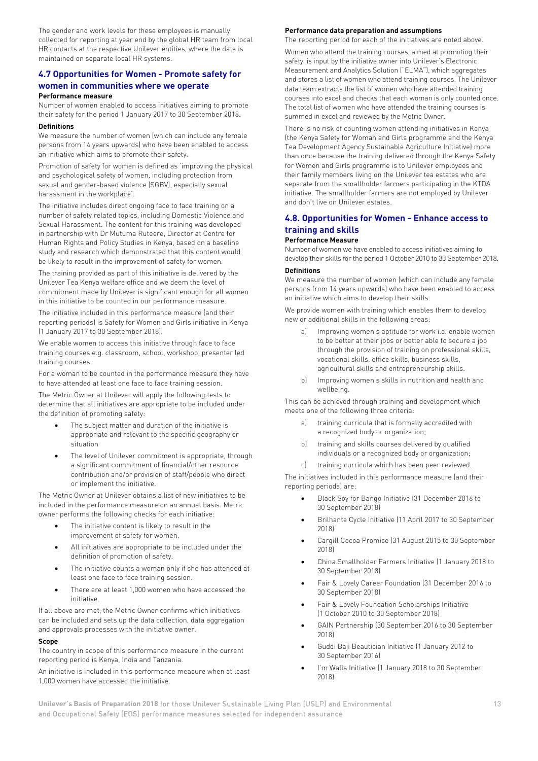The gender and work levels for these employees is manually collected for reporting at year end by the global HR team from local HR contacts at the respective Unilever entities, where the data is maintained on separate local HR systems.

#### **4.7 Opportunities for Women - Promote safety for women in communities where we operate**

#### **Performance measure**

Number of women enabled to access initiatives aiming to promote their safety for the period 1 January 2017 to 30 September 2018.

#### **Definitions**

We measure the number of women (which can include any female persons from 14 years upwards) who have been enabled to access an initiative which aims to promote their safety.

Promotion of safety for women is defined as 'improving the physical and psychological safety of women, including protection from sexual and gender-based violence (SGBV), especially sexual harassment in the workplace'.

The initiative includes direct ongoing face to face training on a number of safety related topics, including Domestic Violence and Sexual Harassment. The content for this training was developed in partnership with Dr Mutuma Ruteere, Director at Centre for Human Rights and Policy Studies in Kenya, based on a baseline study and research which demonstrated that this content would be likely to result in the improvement of safety for women.

The training provided as part of this initiative is delivered by the Unilever Tea Kenya welfare office and we deem the level of commitment made by Unilever is significant enough for all women in this initiative to be counted in our performance measure.

The initiative included in this performance measure (and their reporting periods) is Safety for Women and Girls initiative in Kenya (1 January 2017 to 30 September 2018).

We enable women to access this initiative through face to face training courses e.g. classroom, school, workshop, presenter led training courses.

For a woman to be counted in the performance measure they have to have attended at least one face to face training session.

The Metric Owner at Unilever will apply the following tests to determine that all initiatives are appropriate to be included under the definition of promoting safety:

- The subject matter and duration of the initiative is appropriate and relevant to the specific geography or situation
- The level of Unilever commitment is appropriate, through a significant commitment of financial/other resource contribution and/or provision of staff/people who direct or implement the initiative.

The Metric Owner at Unilever obtains a list of new initiatives to be included in the performance measure on an annual basis. Metric owner performs the following checks for each initiative:

- The initiative content is likely to result in the improvement of safety for women.
- All initiatives are appropriate to be included under the definition of promotion of safety.
- The initiative counts a woman only if she has attended at least one face to face training session.
- There are at least 1,000 women who have accessed the initiative.

If all above are met, the Metric Owner confirms which initiatives can be included and sets up the data collection, data aggregation and approvals processes with the initiative owner.

#### **Scope**

The country in scope of this performance measure in the current reporting period is Kenya, India and Tanzania.

An initiative is included in this performance measure when at least 1,000 women have accessed the initiative.

#### **Performance data preparation and assumptions**

The reporting period for each of the initiatives are noted above. Women who attend the training courses, aimed at promoting their safety, is input by the initiative owner into Unilever's Electronic Measurement and Analytics Solution ("ELMA"), which aggregates and stores a list of women who attend training courses. The Unilever data team extracts the list of women who have attended training courses into excel and checks that each woman is only counted once. The total list of women who have attended the training courses is summed in excel and reviewed by the Metric Owner.

There is no risk of counting women attending initiatives in Kenya (the Kenya Safety for Woman and Girls programme and the Kenya Tea Development Agency Sustainable Agriculture Initiative) more than once because the training delivered through the Kenya Safety for Women and Girls programme is to Unilever employees and their family members living on the Unilever tea estates who are separate from the smallholder farmers participating in the KTDA initiative. The smallholder farmers are not employed by Unilever and don't live on Unilever estates.

#### **4.8. Opportunities for Women - Enhance access to training and skills**

#### **Performance Measure**

Number of women we have enabled to access initiatives aiming to develop their skills for the period 1 October 2010 to 30 September 2018.

#### **Definitions**

We measure the number of women (which can include any female persons from 14 years upwards) who have been enabled to access an initiative which aims to develop their skills.

We provide women with training which enables them to develop new or additional skills in the following areas:

- a) Improving women's aptitude for work i.e. enable women to be better at their jobs or better able to secure a job through the provision of training on professional skills, vocational skills, office skills, business skills, agricultural skills and entrepreneurship skills.
- b) Improving women's skills in nutrition and health and wellbeing.

This can be achieved through training and development which meets one of the following three criteria:

- a) training curricula that is formally accredited with a recognized body or organization;
- b) training and skills courses delivered by qualified individuals or a recognized body or organization;
- c) training curricula which has been peer reviewed.

The initiatives included in this performance measure (and their reporting periods) are:

- Black Soy for Bango Initiative (31 December 2016 to 30 September 2018)
- Brilhante Cycle Initiative (11 April 2017 to 30 September 2018)
- Cargill Cocoa Promise (31 August 2015 to 30 September 2018)
- China Smallholder Farmers Initiative (1 January 2018 to 30 September 2018)
- Fair & Lovely Career Foundation (31 December 2016 to 30 September 2018)
- Fair & Lovely Foundation Scholarships Initiative (1 October 2010 to 30 September 2018)
- GAIN Partnership (30 September 2016 to 30 September 2018)
- Guddi Baji Beautician Initiative (1 January 2012 to 30 September 2016)
- I'm Walls Initiative (1 January 2018 to 30 September 2018)

**Unilever's Basis of Preparation 2018** for those Unilever Sustainable Living Plan (USLP) and Environmental 13 and Occupational Safety (EOS) performance measures selected for independent assurance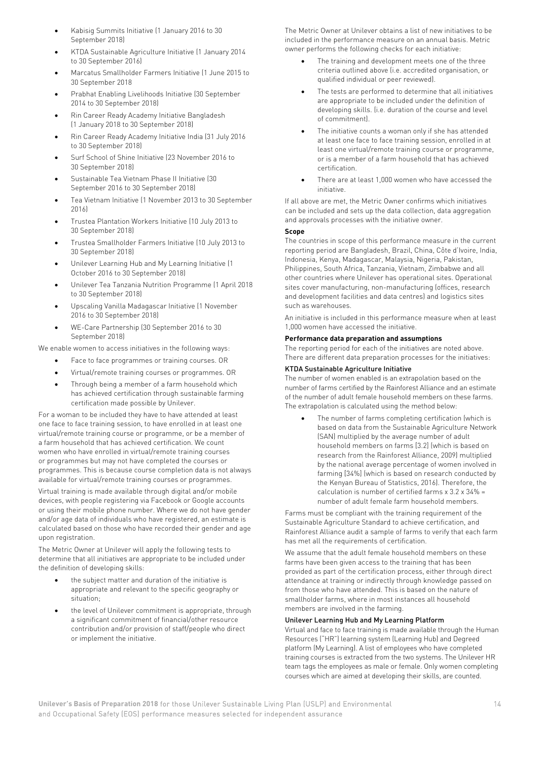- Kabisig Summits Initiative (1 January 2016 to 30 September 2018)
- KTDA Sustainable Agriculture Initiative (1 January 2014 to 30 September 2016)
- Marcatus Smallholder Farmers Initiative (1 June 2015 to 30 September 2018
- Prabhat Enabling Livelihoods Initiative (30 September 2014 to 30 September 2018)
- Rin Career Ready Academy Initiative Bangladesh (1 January 2018 to 30 September 2018)
- Rin Career Ready Academy Initiative India (31 July 2016 to 30 September 2018)
- Surf School of Shine Initiative (23 November 2016 to 30 September 2018)
- Sustainable Tea Vietnam Phase II Initiative (30 September 2016 to 30 September 2018)
- Tea Vietnam Initiative (1 November 2013 to 30 September 2016)
- Trustea Plantation Workers Initiative (10 July 2013 to 30 September 2018)
- Trustea Smallholder Farmers Initiative (10 July 2013 to 30 September 2018)
- Unilever Learning Hub and My Learning Initiative (1 October 2016 to 30 September 2018)
- Unilever Tea Tanzania Nutrition Programme (1 April 2018 to 30 September 2018)
- Upscaling Vanilla Madagascar Initiative (1 November 2016 to 30 September 2018)
- WE-Care Partnership (30 September 2016 to 30 September 2018)

We enable women to access initiatives in the following ways:

- Face to face programmes or training courses. OR
- Virtual/remote training courses or programmes. OR
- Through being a member of a farm household which has achieved certification through sustainable farming certification made possible by Unilever.

For a woman to be included they have to have attended at least one face to face training session, to have enrolled in at least one virtual/remote training course or programme, or be a member of a farm household that has achieved certification. We count women who have enrolled in virtual/remote training courses or programmes but may not have completed the courses or programmes. This is because course completion data is not always available for virtual/remote training courses or programmes.

Virtual training is made available through digital and/or mobile devices, with people registering via Facebook or Google accounts or using their mobile phone number. Where we do not have gender and/or age data of individuals who have registered, an estimate is calculated based on those who have recorded their gender and age upon registration.

The Metric Owner at Unilever will apply the following tests to determine that all initiatives are appropriate to be included under the definition of developing skills:

- the subject matter and duration of the initiative is appropriate and relevant to the specific geography or situation;
- the level of Unilever commitment is appropriate, through a significant commitment of financial/other resource contribution and/or provision of staff/people who direct or implement the initiative.

The Metric Owner at Unilever obtains a list of new initiatives to be included in the performance measure on an annual basis. Metric owner performs the following checks for each initiative:

- The training and development meets one of the three criteria outlined above (i.e. accredited organisation, or qualified individual or peer reviewed).
- The tests are performed to determine that all initiatives are appropriate to be included under the definition of developing skills. (i.e. duration of the course and level of commitment).
- The initiative counts a woman only if she has attended at least one face to face training session, enrolled in at least one virtual/remote training course or programme, or is a member of a farm household that has achieved certification.
- There are at least 1,000 women who have accessed the initiative.

If all above are met, the Metric Owner confirms which initiatives can be included and sets up the data collection, data aggregation and approvals processes with the initiative owner.

#### **Scope**

The countries in scope of this performance measure in the current reporting period are Bangladesh, Brazil, China, Côte d'Ivoire, India, Indonesia, Kenya, Madagascar, Malaysia, Nigeria, Pakistan, Philippines, South Africa, Tanzania, Vietnam, Zimbabwe and all other countries where Unilever has operational sites. Operational sites cover manufacturing, non-manufacturing (offices, research and development facilities and data centres) and logistics sites such as warehouses.

An initiative is included in this performance measure when at least 1,000 women have accessed the initiative.

#### **Performance data preparation and assumptions**

The reporting period for each of the initiatives are noted above. There are different data preparation processes for the initiatives:

#### KTDA Sustainable Agriculture Initiative

The number of women enabled is an extrapolation based on the number of farms certified by the Rainforest Alliance and an estimate of the number of adult female household members on these farms. The extrapolation is calculated using the method below:

The number of farms completing certification (which is based on data from the Sustainable Agriculture Network (SAN) multiplied by the average number of adult household members on farms [3.2] (which is based on research from the Rainforest Alliance, 2009) multiplied by the national average percentage of women involved in farming [34%] (which is based on research conducted by the Kenyan Bureau of Statistics, 2016). Therefore, the calculation is number of certified farms x 3.2 x 34% = number of adult female farm household members.

Farms must be compliant with the training requirement of the Sustainable Agriculture Standard to achieve certification, and Rainforest Alliance audit a sample of farms to verify that each farm has met all the requirements of certification.

We assume that the adult female household members on these farms have been given access to the training that has been provided as part of the certification process, either through direct attendance at training or indirectly through knowledge passed on from those who have attended. This is based on the nature of smallholder farms, where in most instances all household members are involved in the farming.

#### Unilever Learning Hub and My Learning Platform

Virtual and face to face training is made available through the Human Resources ("HR") learning system (Learning Hub) and Degreed platform (My Learning). A list of employees who have completed training courses is extracted from the two systems. The Unilever HR team tags the employees as male or female. Only women completing courses which are aimed at developing their skills, are counted.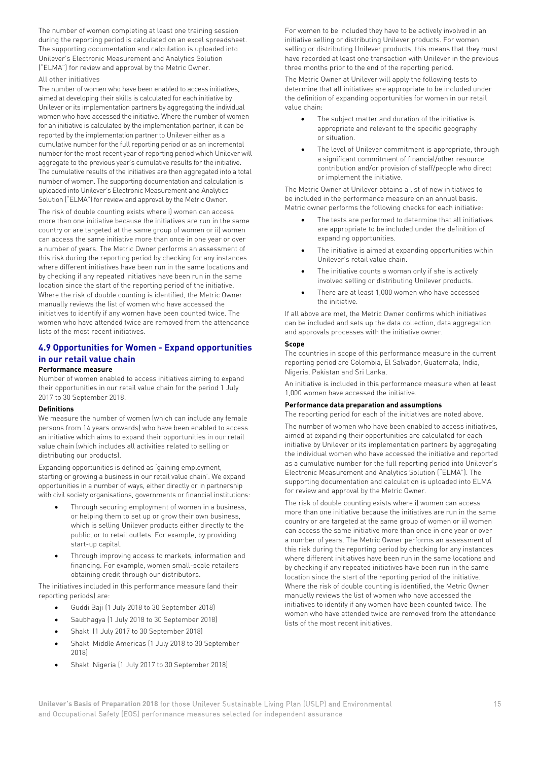The number of women completing at least one training session during the reporting period is calculated on an excel spreadsheet. The supporting documentation and calculation is uploaded into Unilever's Electronic Measurement and Analytics Solution ("ELMA") for review and approval by the Metric Owner.

#### All other initiatives

The number of women who have been enabled to access initiatives, aimed at developing their skills is calculated for each initiative by Unilever or its implementation partners by aggregating the individual women who have accessed the initiative. Where the number of women for an initiative is calculated by the implementation partner, it can be reported by the implementation partner to Unilever either as a cumulative number for the full reporting period or as an incremental number for the most recent year of reporting period which Unilever will aggregate to the previous year's cumulative results for the initiative. The cumulative results of the initiatives are then aggregated into a total number of women. The supporting documentation and calculation is uploaded into Unilever's Electronic Measurement and Analytics Solution ("ELMA") for review and approval by the Metric Owner.

The risk of double counting exists where i) women can access more than one initiative because the initiatives are run in the same country or are targeted at the same group of women or ii) women can access the same initiative more than once in one year or over a number of years. The Metric Owner performs an assessment of this risk during the reporting period by checking for any instances where different initiatives have been run in the same locations and by checking if any repeated initiatives have been run in the same location since the start of the reporting period of the initiative. Where the risk of double counting is identified, the Metric Owner manually reviews the list of women who have accessed the initiatives to identify if any women have been counted twice. The women who have attended twice are removed from the attendance lists of the most recent initiatives.

### **4.9 Opportunities for Women - Expand opportunities in our retail value chain**

#### **Performance measure**

Number of women enabled to access initiatives aiming to expand their opportunities in our retail value chain for the period 1 July 2017 to 30 September 2018.

#### **Definitions**

We measure the number of women (which can include any female persons from 14 years onwards) who have been enabled to access an initiative which aims to expand their opportunities in our retail value chain (which includes all activities related to selling or distributing our products).

Expanding opportunities is defined as 'gaining employment, starting or growing a business in our retail value chain'. We expand opportunities in a number of ways, either directly or in partnership with civil society organisations, governments or financial institutions:

- Through securing employment of women in a business, or helping them to set up or grow their own business, which is selling Unilever products either directly to the public, or to retail outlets. For example, by providing start-up capital.
- Through improving access to markets, information and financing. For example, women small-scale retailers obtaining credit through our distributors.

The initiatives included in this performance measure (and their reporting periods) are:

- Guddi Baji (1 July 2018 to 30 September 2018)
- Saubhagya (1 July 2018 to 30 September 2018)
- Shakti (1 July 2017 to 30 September 2018)
- Shakti Middle Americas (1 July 2018 to 30 September 2018)
- Shakti Nigeria (1 July 2017 to 30 September 2018)

For women to be included they have to be actively involved in an initiative selling or distributing Unilever products. For women selling or distributing Unilever products, this means that they must have recorded at least one transaction with Unilever in the previous three months prior to the end of the reporting period.

The Metric Owner at Unilever will apply the following tests to determine that all initiatives are appropriate to be included under the definition of expanding opportunities for women in our retail value chain:

- The subject matter and duration of the initiative is appropriate and relevant to the specific geography or situation.
- The level of Unilever commitment is appropriate, through a significant commitment of financial/other resource contribution and/or provision of staff/people who direct or implement the initiative.

The Metric Owner at Unilever obtains a list of new initiatives to be included in the performance measure on an annual basis. Metric owner performs the following checks for each initiative:

- The tests are performed to determine that all initiatives are appropriate to be included under the definition of expanding opportunities.
- The initiative is aimed at expanding opportunities within Unilever's retail value chain.
- The initiative counts a woman only if she is actively involved selling or distributing Unilever products.
- There are at least 1,000 women who have accessed the initiative.

If all above are met, the Metric Owner confirms which initiatives can be included and sets up the data collection, data aggregation and approvals processes with the initiative owner.

#### **Scope**

The countries in scope of this performance measure in the current reporting period are Colombia, El Salvador, Guatemala, India, Nigeria, Pakistan and Sri Lanka.

An initiative is included in this performance measure when at least 1,000 women have accessed the initiative.

#### **Performance data preparation and assumptions**

The reporting period for each of the initiatives are noted above.

The number of women who have been enabled to access initiatives, aimed at expanding their opportunities are calculated for each initiative by Unilever or its implementation partners by aggregating the individual women who have accessed the initiative and reported as a cumulative number for the full reporting period into Unilever's Electronic Measurement and Analytics Solution ("ELMA"). The supporting documentation and calculation is uploaded into ELMA for review and approval by the Metric Owner.

The risk of double counting exists where i) women can access more than one initiative because the initiatives are run in the same country or are targeted at the same group of women or ii) women can access the same initiative more than once in one year or over a number of years. The Metric Owner performs an assessment of this risk during the reporting period by checking for any instances where different initiatives have been run in the same locations and by checking if any repeated initiatives have been run in the same location since the start of the reporting period of the initiative. Where the risk of double counting is identified, the Metric Owner manually reviews the list of women who have accessed the initiatives to identify if any women have been counted twice. The women who have attended twice are removed from the attendance lists of the most recent initiatives.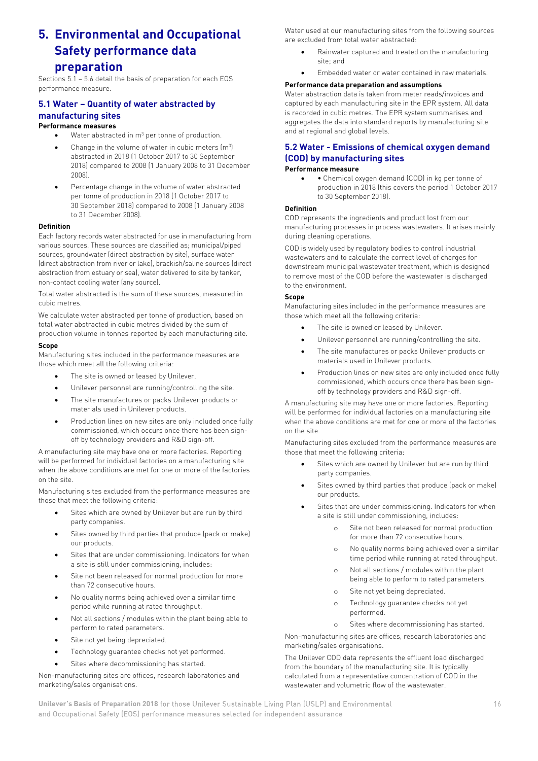### **5. Environmental and Occupational Safety performance data preparation**

Sections 5.1 – 5.6 detail the basis of preparation for each EOS performance measure.

#### **5.1 Water – Quantity of water abstracted by manufacturing sites Performance measures**

#### Water abstracted in  $m^3$  per tonne of production.

- Change in the volume of water in cubic meters  $[m<sup>3</sup>]$ abstracted in 2018 (1 October 2017 to 30 September 2018) compared to 2008 (1 January 2008 to 31 December 2008).
- Percentage change in the volume of water abstracted per tonne of production in 2018 (1 October 2017 to 30 September 2018) compared to 2008 (1 January 2008 to 31 December 2008).

#### **Definition**

Each factory records water abstracted for use in manufacturing from various sources. These sources are classified as; municipal/piped sources, groundwater (direct abstraction by site), surface water (direct abstraction from river or lake), brackish/saline sources (direct abstraction from estuary or sea), water delivered to site by tanker, non-contact cooling water (any source).

Total water abstracted is the sum of these sources, measured in cubic metres.

We calculate water abstracted per tonne of production, based on total water abstracted in cubic metres divided by the sum of production volume in tonnes reported by each manufacturing site.

#### **Scope**

Manufacturing sites included in the performance measures are those which meet all the following criteria:

- The site is owned or leased by Unilever.
- Unilever personnel are running/controlling the site.
- The site manufactures or packs Unilever products or materials used in Unilever products.
- Production lines on new sites are only included once fully commissioned, which occurs once there has been signoff by technology providers and R&D sign-off.

A manufacturing site may have one or more factories. Reporting will be performed for individual factories on a manufacturing site when the above conditions are met for one or more of the factories on the site.

Manufacturing sites excluded from the performance measures are those that meet the following criteria:

- Sites which are owned by Unilever but are run by third party companies.
- Sites owned by third parties that produce (pack or make) our products.
- Sites that are under commissioning. Indicators for when a site is still under commissioning, includes:
- Site not been released for normal production for more than 72 consecutive hours.
- No quality norms being achieved over a similar time period while running at rated throughput.
- Not all sections / modules within the plant being able to perform to rated parameters.
- Site not yet being depreciated.
- Technology quarantee checks not yet performed.
- Sites where decommissioning has started.

Non-manufacturing sites are offices, research laboratories and marketing/sales organisations.

Water used at our manufacturing sites from the following sources are excluded from total water abstracted:

- Rainwater captured and treated on the manufacturing site; and
- Embedded water or water contained in raw materials.

#### **Performance data preparation and assumptions**

Water abstraction data is taken from meter reads/invoices and captured by each manufacturing site in the EPR system. All data is recorded in cubic metres. The EPR system summarises and aggregates the data into standard reports by manufacturing site and at regional and global levels.

### **5.2 Water - Emissions of chemical oxygen demand (COD) by manufacturing sites**

#### **Performance measure**

• • Chemical oxygen demand (COD) in kg per tonne of production in 2018 (this covers the period 1 October 2017 to 30 September 2018).

#### **Definition**

COD represents the ingredients and product lost from our manufacturing processes in process wastewaters. It arises mainly during cleaning operations.

COD is widely used by regulatory bodies to control industrial wastewaters and to calculate the correct level of charges for downstream municipal wastewater treatment, which is designed to remove most of the COD before the wastewater is discharged to the environment.

#### **Scope**

Manufacturing sites included in the performance measures are those which meet all the following criteria:

- The site is owned or leased by Unilever.
- Unilever personnel are running/controlling the site.
- The site manufactures or packs Unilever products or materials used in Unilever products.
- Production lines on new sites are only included once fully commissioned, which occurs once there has been signoff by technology providers and R&D sign-off.

A manufacturing site may have one or more factories. Reporting will be performed for individual factories on a manufacturing site when the above conditions are met for one or more of the factories on the site.

Manufacturing sites excluded from the performance measures are those that meet the following criteria:

- Sites which are owned by Unilever but are run by third party companies.
- Sites owned by third parties that produce (pack or make) our products.
- Sites that are under commissioning. Indicators for when a site is still under commissioning, includes:
	- o Site not been released for normal production for more than 72 consecutive hours.
	- o No quality norms being achieved over a similar time period while running at rated throughput.
	- o Not all sections / modules within the plant being able to perform to rated parameters.
	- o Site not yet being depreciated.
	- o Technology guarantee checks not yet performed.
	- o Sites where decommissioning has started.

Non-manufacturing sites are offices, research laboratories and marketing/sales organisations.

The Unilever COD data represents the effluent load discharged from the boundary of the manufacturing site. It is typically calculated from a representative concentration of COD in the wastewater and volumetric flow of the wastewater.

**Unilever's Basis of Preparation 2018** for those Unilever Sustainable Living Plan (USLP) and Environmental 16 and Occupational Safety (EOS) performance measures selected for independent assurance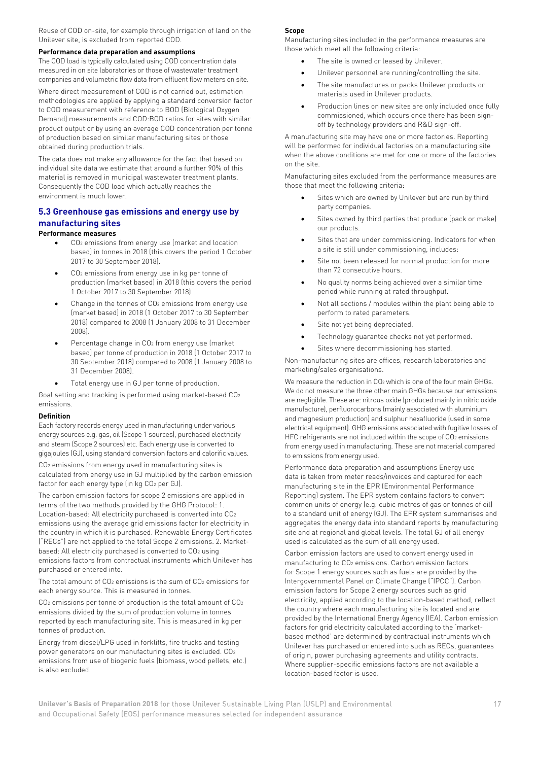Reuse of COD on-site, for example through irrigation of land on the Unilever site, is excluded from reported COD.

#### **Performance data preparation and assumptions**

The COD load is typically calculated using COD concentration data measured in on site laboratories or those of wastewater treatment companies and volumetric flow data from effluent flow meters on site.

Where direct measurement of COD is not carried out, estimation methodologies are applied by applying a standard conversion factor to COD measurement with reference to BOD (Biological Oxygen Demand) measurements and COD:BOD ratios for sites with similar product output or by using an average COD concentration per tonne of production based on similar manufacturing sites or those obtained during production trials.

The data does not make any allowance for the fact that based on individual site data we estimate that around a further 90% of this material is removed in municipal wastewater treatment plants. Consequently the COD load which actually reaches the environment is much lower.

#### **5.3 Greenhouse gas emissions and energy use by manufacturing sites**

#### **Performance measures**

- CO2 emissions from energy use (market and location based) in tonnes in 2018 (this covers the period 1 October 2017 to 30 September 2018).
- CO<sub>2</sub> emissions from energy use in kg per tonne of production (market based) in 2018 (this covers the period 1 October 2017 to 30 September 2018)
- Change in the tonnes of CO<sub>2</sub> emissions from energy use (market based) in 2018 (1 October 2017 to 30 September 2018) compared to 2008 (1 January 2008 to 31 December 2008).
- Percentage change in CO<sub>2</sub> from energy use (market based) per tonne of production in 2018 (1 October 2017 to 30 September 2018) compared to 2008 (1 January 2008 to 31 December 2008).
- Total energy use in GJ per tonne of production.

Goal setting and tracking is performed using market-based CO2 emissions.

#### **Definition**

Each factory records energy used in manufacturing under various energy sources e.g. gas, oil (Scope 1 sources), purchased electricity and steam (Scope 2 sources) etc. Each energy use is converted to gigajoules (GJ), using standard conversion factors and calorific values.

CO2 emissions from energy used in manufacturing sites is calculated from energy use in GJ multiplied by the carbon emission factor for each energy type (in kg CO<sub>2</sub> per GJ).

The carbon emission factors for scope 2 emissions are applied in terms of the two methods provided by the GHG Protocol: 1. Location-based: All electricity purchased is converted into CO2 emissions using the average grid emissions factor for electricity in the country in which it is purchased. Renewable Energy Certificates ("RECs") are not applied to the total Scope 2 emissions. 2. Marketbased: All electricity purchased is converted to CO2 using emissions factors from contractual instruments which Unilever has purchased or entered into.

The total amount of CO<sub>2</sub> emissions is the sum of CO<sub>2</sub> emissions for each energy source. This is measured in tonnes.

CO2 emissions per tonne of production is the total amount of CO2 emissions divided by the sum of production volume in tonnes reported by each manufacturing site. This is measured in kg per tonnes of production.

Energy from diesel/LPG used in forklifts, fire trucks and testing power generators on our manufacturing sites is excluded. CO2 emissions from use of biogenic fuels (biomass, wood pellets, etc.) is also excluded.

#### **Scope**

Manufacturing sites included in the performance measures are those which meet all the following criteria:

- The site is owned or leased by Unilever.
- Unilever personnel are running/controlling the site.
- The site manufactures or packs Unilever products or materials used in Unilever products.
- Production lines on new sites are only included once fully commissioned, which occurs once there has been signoff by technology providers and R&D sign-off.

A manufacturing site may have one or more factories. Reporting will be performed for individual factories on a manufacturing site when the above conditions are met for one or more of the factories on the site.

Manufacturing sites excluded from the performance measures are those that meet the following criteria:

- Sites which are owned by Unilever but are run by third party companies.
- Sites owned by third parties that produce (pack or make) our products.
- Sites that are under commissioning. Indicators for when a site is still under commissioning, includes:
- Site not been released for normal production for more than 72 consecutive hours.
- No quality norms being achieved over a similar time period while running at rated throughput.
- Not all sections / modules within the plant being able to perform to rated parameters.
- Site not yet being depreciated.
- Technology guarantee checks not yet performed.
- Sites where decommissioning has started.

Non-manufacturing sites are offices, research laboratories and marketing/sales organisations.

We measure the reduction in CO<sub>2</sub> which is one of the four main GHGs. We do not measure the three other main GHGs because our emissions are negligible. These are: nitrous oxide (produced mainly in nitric oxide manufacture), perfluorocarbons (mainly associated with aluminium and magnesium production) and sulphur hexafluoride (used in some electrical equipment). GHG emissions associated with fugitive losses of HFC refrigerants are not included within the scope of CO<sub>2</sub> emissions from energy used in manufacturing. These are not material compared to emissions from energy used.

Performance data preparation and assumptions Energy use data is taken from meter reads/invoices and captured for each manufacturing site in the EPR (Environmental Performance Reporting) system. The EPR system contains factors to convert common units of energy (e.g. cubic metres of gas or tonnes of oil) to a standard unit of energy (GJ). The EPR system summarises and aggregates the energy data into standard reports by manufacturing site and at regional and global levels. The total GJ of all energy used is calculated as the sum of all energy used.

Carbon emission factors are used to convert energy used in manufacturing to CO2 emissions. Carbon emission factors for Scope 1 energy sources such as fuels are provided by the Intergovernmental Panel on Climate Change ("IPCC"). Carbon emission factors for Scope 2 energy sources such as grid electricity, applied according to the location-based method, reflect the country where each manufacturing site is located and are provided by the International Energy Agency (IEA). Carbon emission factors for grid electricity calculated according to the 'marketbased method' are determined by contractual instruments which Unilever has purchased or entered into such as RECs, guarantees of origin, power purchasing agreements and utility contracts. Where supplier-specific emissions factors are not available a location-based factor is used.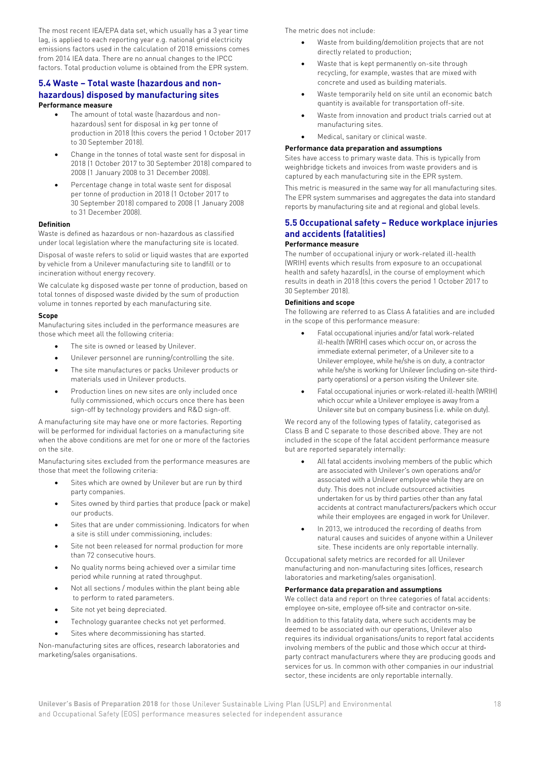The most recent IEA/EPA data set, which usually has a 3 year time lag, is applied to each reporting year e.g. national grid electricity emissions factors used in the calculation of 2018 emissions comes from 2014 IEA data. There are no annual changes to the IPCC factors. Total production volume is obtained from the EPR system.

#### **5.4 Waste – Total waste (hazardous and nonhazardous) disposed by manufacturing sites**

#### **Performance measure**

- The amount of total waste (hazardous and nonhazardous) sent for disposal in kg per tonne of production in 2018 (this covers the period 1 October 2017 to 30 September 2018).
- Change in the tonnes of total waste sent for disposal in 2018 (1 October 2017 to 30 September 2018) compared to 2008 (1 January 2008 to 31 December 2008).
- Percentage change in total waste sent for disposal per tonne of production in 2018 (1 October 2017 to 30 September 2018) compared to 2008 (1 January 2008 to 31 December 2008).

#### **Definition**

Waste is defined as hazardous or non-hazardous as classified under local legislation where the manufacturing site is located.

Disposal of waste refers to solid or liquid wastes that are exported by vehicle from a Unilever manufacturing site to landfill or to incineration without energy recovery.

We calculate kg disposed waste per tonne of production, based on total tonnes of disposed waste divided by the sum of production volume in tonnes reported by each manufacturing site.

#### **Scope**

Manufacturing sites included in the performance measures are those which meet all the following criteria:

- The site is owned or leased by Unilever.
- Unilever personnel are running/controlling the site.
- The site manufactures or packs Unilever products or materials used in Unilever products.
- Production lines on new sites are only included once fully commissioned, which occurs once there has been sign-off by technology providers and R&D sign-off.

A manufacturing site may have one or more factories. Reporting will be performed for individual factories on a manufacturing site when the above conditions are met for one or more of the factories on the site.

Manufacturing sites excluded from the performance measures are those that meet the following criteria:

- Sites which are owned by Unilever but are run by third party companies.
- Sites owned by third parties that produce (pack or make) our products.
- Sites that are under commissioning. Indicators for when a site is still under commissioning, includes:
- Site not been released for normal production for more than 72 consecutive hours.
- No quality norms being achieved over a similar time period while running at rated throughput.
- Not all sections / modules within the plant being able to perform to rated parameters.
- Site not yet being depreciated.
- Technology quarantee checks not yet performed.
- Sites where decommissioning has started.

Non-manufacturing sites are offices, research laboratories and marketing/sales organisations.

The metric does not include:

- Waste from building/demolition projects that are not directly related to production;
- Waste that is kept permanently on-site through recycling, for example, wastes that are mixed with concrete and used as building materials.
- Waste temporarily held on site until an economic batch quantity is available for transportation off-site.
- Waste from innovation and product trials carried out at manufacturing sites.
- Medical, sanitary or clinical waste.

#### **Performance data preparation and assumptions**

Sites have access to primary waste data. This is typically from weighbridge tickets and invoices from waste providers and is captured by each manufacturing site in the EPR system.

This metric is measured in the same way for all manufacturing sites. The EPR system summarises and aggregates the data into standard reports by manufacturing site and at regional and global levels.

#### **5.5 Occupational safety – Reduce workplace injuries and accidents (fatalities) Performance measure**

The number of occupational injury or work-related ill-health (WRIH) events which results from exposure to an occupational health and safety hazard(s), in the course of employment which results in death in 2018 (this covers the period 1 October 2017 to 30 September 2018).

#### **Definitions and scope**

The following are referred to as Class A fatalities and are included in the scope of this performance measure:

- Fatal occupational injuries and/or fatal work-related ill-health (WRIH) cases which occur on, or across the immediate external perimeter, of a Unilever site to a Unilever employee, while he/she is on duty, a contractor while he/she is working for Unilever (including on-site thirdparty operations) or a person visiting the Unilever site.
- Fatal occupational injuries or work-related ill-health (WRIH) which occur while a Unilever employee is away from a Unilever site but on company business (i.e. while on duty).

We record any of the following types of fatality, categorised as Class B and C separate to those described above. They are not included in the scope of the fatal accident performance measure but are reported separately internally:

- All fatal accidents involving members of the public which are associated with Unilever's own operations and/or associated with a Unilever employee while they are on duty. This does not include outsourced activities undertaken for us by third parties other than any fatal accidents at contract manufacturers/packers which occur while their employees are engaged in work for Unilever.
- In 2013, we introduced the recording of deaths from natural causes and suicides of anyone within a Unilever site. These incidents are only reportable internally.

Occupational safety metrics are recorded for all Unilever manufacturing and non-manufacturing sites (offices, research laboratories and marketing/sales organisation).

#### **Performance data preparation and assumptions**

We collect data and report on three categories of fatal accidents: employee on‐site, employee off‐site and contractor on‐site.

In addition to this fatality data, where such accidents may be deemed to be associated with our operations, Unilever also requires its individual organisations/units to report fatal accidents involving members of the public and those which occur at third‐ party contract manufacturers where they are producing goods and services for us. In common with other companies in our industrial sector, these incidents are only reportable internally.